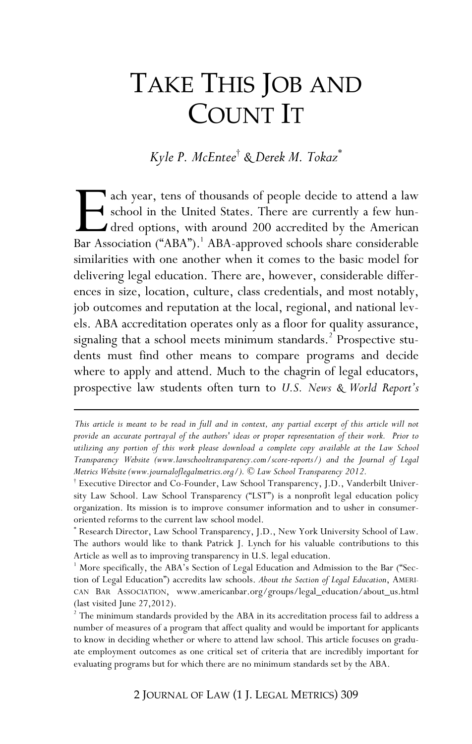# TAKE THIS JOB AND COUNT IT

*Kyle P. McEntee*† *& Derek M. Tokaz*\*

ach year, tens of thousands of people decide to attend a law school in the United States. There are currently a few hundred options, with around 200 accredited by the American Bar Association ("ABA").<sup>1</sup> ABA-approved schools share considerable similarities with one another when it comes to the basic model for delivering legal education. There are, however, considerable differences in size, location, culture, class credentials, and most notably, job outcomes and reputation at the local, regional, and national levels. ABA accreditation operates only as a floor for quality assurance, signaling that a school meets minimum standards.<sup>2</sup> Prospective students must find other means to compare programs and decide where to apply and attend. Much to the chagrin of legal educators, prospective law students often turn to *U.S. News & World Report's*  External Report Assembly

<u>.</u>

\* Research Director, Law School Transparency, J.D., New York University School of Law. The authors would like to thank Patrick J. Lynch for his valuable contributions to this Article as well as to improving transparency in U.S. legal education.

*This article is meant to be read in full and in context, any partial excerpt of this article will not provide an accurate portrayal of the authors' ideas or proper representation of their work. Prior to utilizing any portion of this work please download a complete copy available at the Law School Transparency Website (www.lawschooltransparency.com/score-reports/) and the Journal of Legal Metrics Website (www.journaloflegalmetrics.org/). © Law School Transparency 2012.*

<sup>†</sup> Executive Director and Co-Founder, Law School Transparency, J.D., Vanderbilt University Law School. Law School Transparency ("LST") is a nonprofit legal education policy organization. Its mission is to improve consumer information and to usher in consumeroriented reforms to the current law school model.

<sup>&</sup>lt;sup>1</sup> More specifically, the ABA's Section of Legal Education and Admission to the Bar ("Section of Legal Education") accredits law schools. *About the Section of Legal Education*, AMERI-CAN BAR ASSOCIATION, www.americanbar.org/groups/legal\_education/about\_us.html (last visited June 27,2012).

<sup>&</sup>lt;sup>2</sup> The minimum standards provided by the ABA in its accreditation process fail to address a number of measures of a program that affect quality and would be important for applicants to know in deciding whether or where to attend law school. This article focuses on graduate employment outcomes as one critical set of criteria that are incredibly important for evaluating programs but for which there are no minimum standards set by the ABA.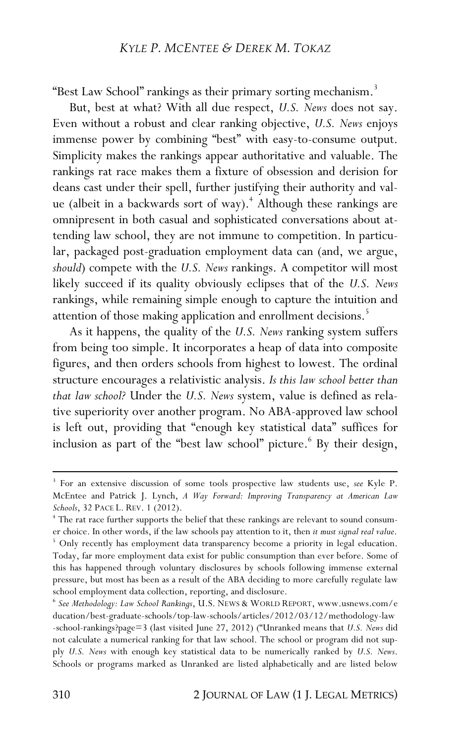"Best Law School" rankings as their primary sorting mechanism.<sup>3</sup>

But, best at what? With all due respect, *U.S. News* does not say. Even without a robust and clear ranking objective, *U.S. News* enjoys immense power by combining "best" with easy-to-consume output. Simplicity makes the rankings appear authoritative and valuable. The rankings rat race makes them a fixture of obsession and derision for deans cast under their spell, further justifying their authority and value (albeit in a backwards sort of way).<sup>4</sup> Although these rankings are omnipresent in both casual and sophisticated conversations about attending law school, they are not immune to competition. In particular, packaged post-graduation employment data can (and, we argue, *should*) compete with the *U.S. News* rankings. A competitor will most likely succeed if its quality obviously eclipses that of the *U.S. News* rankings, while remaining simple enough to capture the intuition and attention of those making application and enrollment decisions.<sup>5</sup>

As it happens, the quality of the *U.S. News* ranking system suffers from being too simple. It incorporates a heap of data into composite figures, and then orders schools from highest to lowest. The ordinal structure encourages a relativistic analysis. *Is this law school better than that law school?* Under the *U.S. News* system, value is defined as relative superiority over another program. No ABA-approved law school is left out, providing that "enough key statistical data" suffices for inclusion as part of the "best law school" picture.<sup>6</sup> By their design,

<sup>3</sup> For an extensive discussion of some tools prospective law students use, *see* Kyle P. McEntee and Patrick J. Lynch, *A Way Forward: Improving Transparency at American Law Schools*, 32 PACE L. REV. 1 (2012).

<sup>4</sup> The rat race further supports the belief that these rankings are relevant to sound consumer choice. In other words, if the law schools pay attention to it, then *it must signal real value*. <sup>5</sup> Only recently has employment data transparency become a priority in legal education. Today, far more employment data exist for public consumption than ever before. Some of this has happened through voluntary disclosures by schools following immense external pressure, but most has been as a result of the ABA deciding to more carefully regulate law school employment data collection, reporting, and disclosure.

<sup>6</sup> *See Methodology: Law School Rankings*, U.S. NEWS & WORLD REPORT, www.usnews.com/e ducation/best-graduate-schools/top-law-schools/articles/2012/03/12/methodology-law -school-rankings?page=3 (last visited June 27, 2012) ("Unranked means that *U.S. News* did not calculate a numerical ranking for that law school. The school or program did not supply *U.S. News* with enough key statistical data to be numerically ranked by *U.S. News*. Schools or programs marked as Unranked are listed alphabetically and are listed below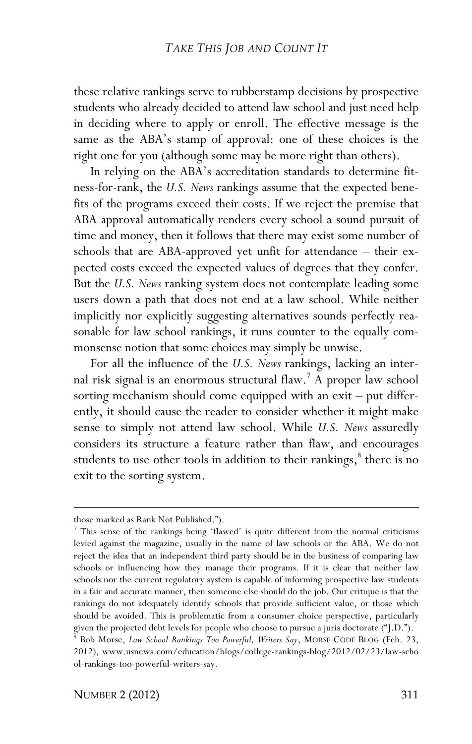these relative rankings serve to rubberstamp decisions by prospective students who already decided to attend law school and just need help in deciding where to apply or enroll. The effective message is the same as the ABA's stamp of approval: one of these choices is the right one for you (although some may be more right than others).

In relying on the ABA's accreditation standards to determine fitness-for-rank, the *U.S. News* rankings assume that the expected benefits of the programs exceed their costs. If we reject the premise that ABA approval automatically renders every school a sound pursuit of time and money, then it follows that there may exist some number of schools that are ABA-approved yet unfit for attendance – their expected costs exceed the expected values of degrees that they confer. But the *U.S. News* ranking system does not contemplate leading some users down a path that does not end at a law school. While neither implicitly nor explicitly suggesting alternatives sounds perfectly reasonable for law school rankings, it runs counter to the equally commonsense notion that some choices may simply be unwise.

For all the influence of the *U.S. News* rankings, lacking an internal risk signal is an enormous structural flaw.<sup>7</sup> A proper law school sorting mechanism should come equipped with an exit – put differently, it should cause the reader to consider whether it might make sense to simply not attend law school. While *U.S. News* assuredly considers its structure a feature rather than flaw, and encourages students to use other tools in addition to their rankings, $\delta$  there is no exit to the sorting system.

-

those marked as Rank Not Published.").

<sup>7</sup> This sense of the rankings being 'flawed' is quite different from the normal criticisms levied against the magazine, usually in the name of law schools or the ABA. We do not reject the idea that an independent third party should be in the business of comparing law schools or influencing how they manage their programs. If it is clear that neither law schools nor the current regulatory system is capable of informing prospective law students in a fair and accurate manner, then someone else should do the job. Our critique is that the rankings do not adequately identify schools that provide sufficient value, or those which should be avoided. This is problematic from a consumer choice perspective, particularly given the projected debt levels for people who choose to pursue a juris doctorate ("J.D.").

<sup>8</sup> Bob Morse, *Law School Rankings Too Powerful, Writers Say*, MORSE CODE BLOG (Feb. 23, 2012), www.usnews.com/education/blogs/college-rankings-blog/2012/02/23/law-scho ol-rankings-too-powerful-writers-say.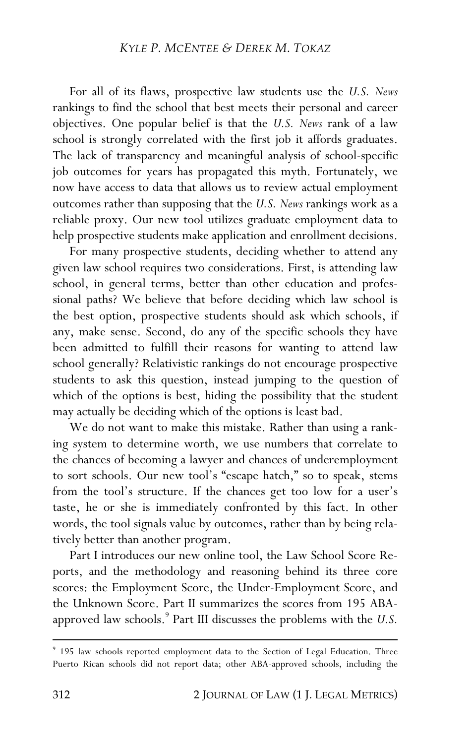For all of its flaws, prospective law students use the *U.S. News*  rankings to find the school that best meets their personal and career objectives. One popular belief is that the *U.S. News* rank of a law school is strongly correlated with the first job it affords graduates. The lack of transparency and meaningful analysis of school-specific job outcomes for years has propagated this myth. Fortunately, we now have access to data that allows us to review actual employment outcomes rather than supposing that the *U.S. News* rankings work as a reliable proxy. Our new tool utilizes graduate employment data to help prospective students make application and enrollment decisions.

For many prospective students, deciding whether to attend any given law school requires two considerations. First, is attending law school, in general terms, better than other education and professional paths? We believe that before deciding which law school is the best option, prospective students should ask which schools, if any, make sense. Second, do any of the specific schools they have been admitted to fulfill their reasons for wanting to attend law school generally? Relativistic rankings do not encourage prospective students to ask this question, instead jumping to the question of which of the options is best, hiding the possibility that the student may actually be deciding which of the options is least bad.

We do not want to make this mistake. Rather than using a ranking system to determine worth, we use numbers that correlate to the chances of becoming a lawyer and chances of underemployment to sort schools. Our new tool's "escape hatch," so to speak, stems from the tool's structure. If the chances get too low for a user's taste, he or she is immediately confronted by this fact. In other words, the tool signals value by outcomes, rather than by being relatively better than another program.

Part I introduces our new online tool, the Law School Score Reports, and the methodology and reasoning behind its three core scores: the Employment Score, the Under-Employment Score, and the Unknown Score. Part II summarizes the scores from 195 ABAapproved law schools.<sup>9</sup> Part III discusses the problems with the *U.S.* 

<sup>9</sup> 195 law schools reported employment data to the Section of Legal Education. Three Puerto Rican schools did not report data; other ABA-approved schools, including the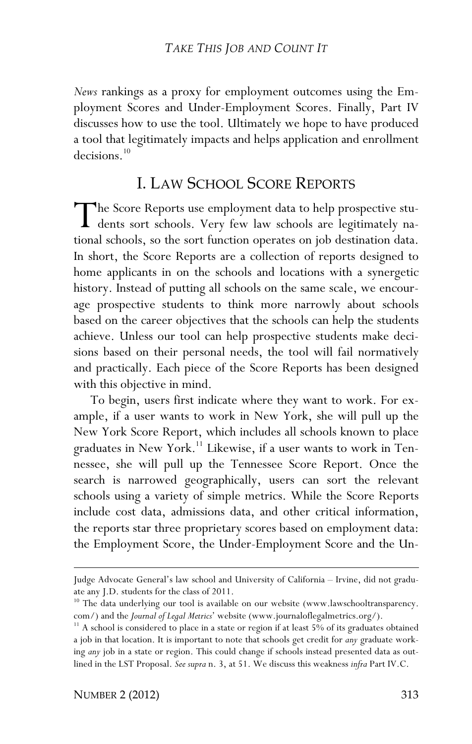*News* rankings as a proxy for employment outcomes using the Employment Scores and Under-Employment Scores. Finally, Part IV discusses how to use the tool. Ultimately we hope to have produced a tool that legitimately impacts and helps application and enrollment decisions.<sup>10</sup>

# I. LAW SCHOOL SCORE REPORTS

he Score Reports use employment data to help prospective stu-The Score Reports use employment data to help prospective stu-<br>dents sort schools. Very few law schools are legitimately na-<br>tional schools, so the sort function energies on ish destination data tional schools, so the sort function operates on job destination data. In short, the Score Reports are a collection of reports designed to home applicants in on the schools and locations with a synergetic history. Instead of putting all schools on the same scale, we encourage prospective students to think more narrowly about schools based on the career objectives that the schools can help the students achieve. Unless our tool can help prospective students make decisions based on their personal needs, the tool will fail normatively and practically. Each piece of the Score Reports has been designed with this objective in mind.

To begin, users first indicate where they want to work. For example, if a user wants to work in New York, she will pull up the New York Score Report, which includes all schools known to place graduates in New York.<sup>11</sup> Likewise, if a user wants to work in Tennessee, she will pull up the Tennessee Score Report. Once the search is narrowed geographically, users can sort the relevant schools using a variety of simple metrics. While the Score Reports include cost data, admissions data, and other critical information, the reports star three proprietary scores based on employment data: the Employment Score, the Under-Employment Score and the Un-

<u>.</u>

Judge Advocate General's law school and University of California – Irvine, did not graduate any J.D. students for the class of 2011.

<sup>&</sup>lt;sup>10</sup> The data underlying our tool is available on our website (www.lawschooltransparency. com/) and the *Journal of Legal Metrics*' website (www.journaloflegalmetrics.org/).

<sup>&</sup>lt;sup>11</sup> A school is considered to place in a state or region if at least 5% of its graduates obtained a job in that location. It is important to note that schools get credit for *any* graduate working *any* job in a state or region. This could change if schools instead presented data as outlined in the LST Proposal. *See supra* n. 3, at 51. We discuss this weakness *infra* Part IV.C.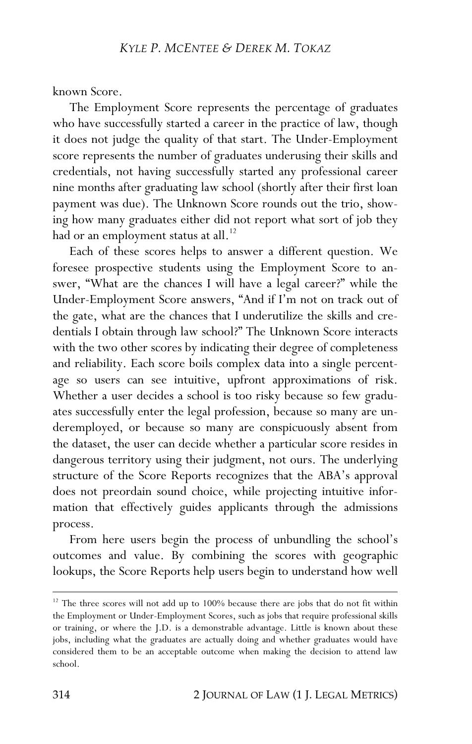known Score.

The Employment Score represents the percentage of graduates who have successfully started a career in the practice of law, though it does not judge the quality of that start. The Under-Employment score represents the number of graduates underusing their skills and credentials, not having successfully started any professional career nine months after graduating law school (shortly after their first loan payment was due). The Unknown Score rounds out the trio, showing how many graduates either did not report what sort of job they had or an employment status at all.<sup>12</sup>

Each of these scores helps to answer a different question. We foresee prospective students using the Employment Score to answer, "What are the chances I will have a legal career?" while the Under-Employment Score answers, "And if I'm not on track out of the gate, what are the chances that I underutilize the skills and credentials I obtain through law school?" The Unknown Score interacts with the two other scores by indicating their degree of completeness and reliability. Each score boils complex data into a single percentage so users can see intuitive, upfront approximations of risk. Whether a user decides a school is too risky because so few graduates successfully enter the legal profession, because so many are underemployed, or because so many are conspicuously absent from the dataset, the user can decide whether a particular score resides in dangerous territory using their judgment, not ours. The underlying structure of the Score Reports recognizes that the ABA's approval does not preordain sound choice, while projecting intuitive information that effectively guides applicants through the admissions process.

From here users begin the process of unbundling the school's outcomes and value. By combining the scores with geographic lookups, the Score Reports help users begin to understand how well

 $12$  The three scores will not add up to 100% because there are jobs that do not fit within the Employment or Under-Employment Scores, such as jobs that require professional skills or training, or where the J.D. is a demonstrable advantage. Little is known about these jobs, including what the graduates are actually doing and whether graduates would have considered them to be an acceptable outcome when making the decision to attend law school.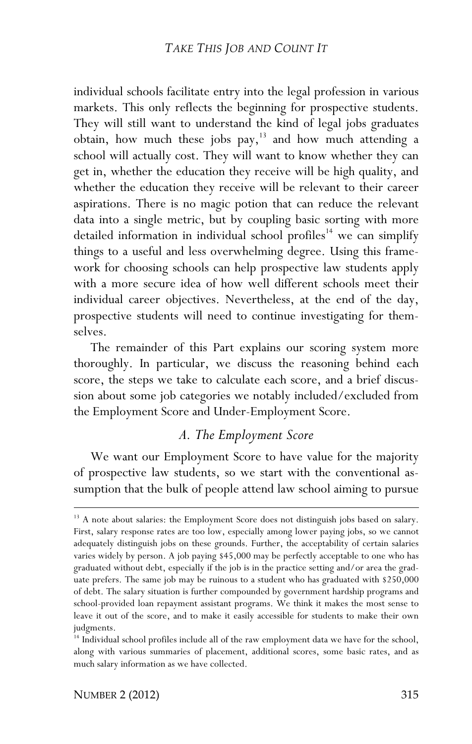individual schools facilitate entry into the legal profession in various markets. This only reflects the beginning for prospective students. They will still want to understand the kind of legal jobs graduates obtain, how much these jobs pay, $13$  and how much attending a school will actually cost. They will want to know whether they can get in, whether the education they receive will be high quality, and whether the education they receive will be relevant to their career aspirations. There is no magic potion that can reduce the relevant data into a single metric, but by coupling basic sorting with more detailed information in individual school profiles<sup>14</sup> we can simplify things to a useful and less overwhelming degree. Using this framework for choosing schools can help prospective law students apply with a more secure idea of how well different schools meet their individual career objectives. Nevertheless, at the end of the day, prospective students will need to continue investigating for themselves.

The remainder of this Part explains our scoring system more thoroughly. In particular, we discuss the reasoning behind each score, the steps we take to calculate each score, and a brief discussion about some job categories we notably included/excluded from the Employment Score and Under-Employment Score.

# *A. The Employment Score*

We want our Employment Score to have value for the majority of prospective law students, so we start with the conventional assumption that the bulk of people attend law school aiming to pursue

-

<sup>&</sup>lt;sup>13</sup> A note about salaries: the Employment Score does not distinguish jobs based on salary. First, salary response rates are too low, especially among lower paying jobs, so we cannot adequately distinguish jobs on these grounds. Further, the acceptability of certain salaries varies widely by person. A job paying \$45,000 may be perfectly acceptable to one who has graduated without debt, especially if the job is in the practice setting and/or area the graduate prefers. The same job may be ruinous to a student who has graduated with \$250,000 of debt. The salary situation is further compounded by government hardship programs and school-provided loan repayment assistant programs. We think it makes the most sense to leave it out of the score, and to make it easily accessible for students to make their own judgments.

<sup>&</sup>lt;sup>14</sup> Individual school profiles include all of the raw employment data we have for the school, along with various summaries of placement, additional scores, some basic rates, and as much salary information as we have collected.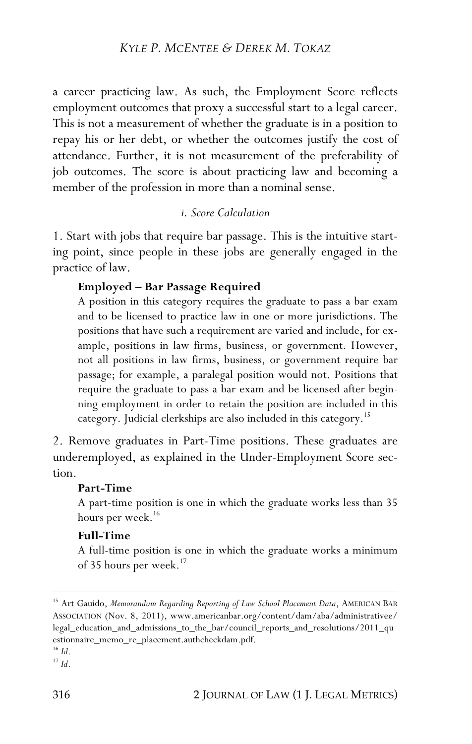a career practicing law. As such, the Employment Score reflects employment outcomes that proxy a successful start to a legal career. This is not a measurement of whether the graduate is in a position to repay his or her debt, or whether the outcomes justify the cost of attendance. Further, it is not measurement of the preferability of job outcomes. The score is about practicing law and becoming a member of the profession in more than a nominal sense.

#### *i. Score Calculation*

1. Start with jobs that require bar passage. This is the intuitive starting point, since people in these jobs are generally engaged in the practice of law.

#### **Employed – Bar Passage Required**

A position in this category requires the graduate to pass a bar exam and to be licensed to practice law in one or more jurisdictions. The positions that have such a requirement are varied and include, for example, positions in law firms, business, or government. However, not all positions in law firms, business, or government require bar passage; for example, a paralegal position would not. Positions that require the graduate to pass a bar exam and be licensed after beginning employment in order to retain the position are included in this category. Judicial clerkships are also included in this category.<sup>15</sup>

2. Remove graduates in Part-Time positions. These graduates are underemployed, as explained in the Under-Employment Score section.

#### **Part-Time**

A part-time position is one in which the graduate works less than 35 hours per week.<sup>16</sup>

#### **Full-Time**

A full-time position is one in which the graduate works a minimum of 35 hours per week.<sup>17</sup>

<sup>&</sup>lt;sup>15</sup> Art Gauido, Memorandum Regarding Reporting of Law School Placement Data, AMERICAN BAR ASSOCIATION (Nov. 8, 2011), www.americanbar.org/content/dam/aba/administrativee/ legal\_education\_and\_admissions\_to\_the\_bar/council\_reports\_and\_resolutions/2011\_qu estionnaire\_memo\_re\_placement.authcheckdam.pdf. <sup>16</sup> *Id*.

 $17$  *Id*.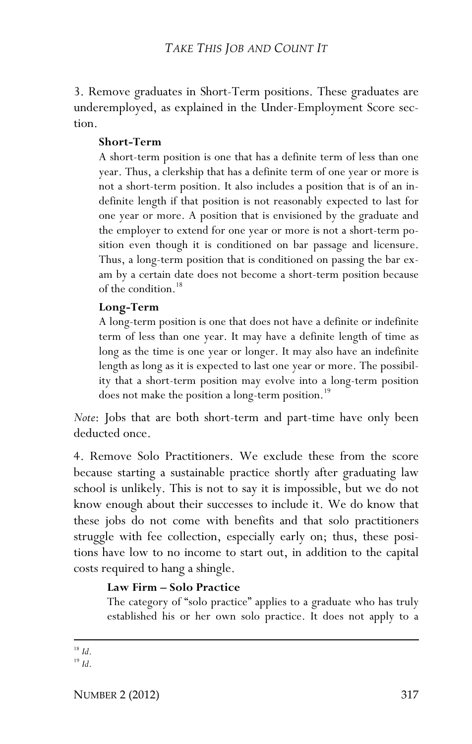3. Remove graduates in Short-Term positions. These graduates are underemployed, as explained in the Under-Employment Score section.

#### **Short-Term**

A short-term position is one that has a definite term of less than one year. Thus, a clerkship that has a definite term of one year or more is not a short-term position. It also includes a position that is of an indefinite length if that position is not reasonably expected to last for one year or more. A position that is envisioned by the graduate and the employer to extend for one year or more is not a short-term position even though it is conditioned on bar passage and licensure. Thus, a long-term position that is conditioned on passing the bar exam by a certain date does not become a short-term position because of the condition.<sup>18</sup>

#### **Long-Term**

A long-term position is one that does not have a definite or indefinite term of less than one year. It may have a definite length of time as long as the time is one year or longer. It may also have an indefinite length as long as it is expected to last one year or more. The possibility that a short-term position may evolve into a long-term position does not make the position a long-term position.<sup>19</sup>

*Note*: Jobs that are both short-term and part-time have only been deducted once.

4. Remove Solo Practitioners. We exclude these from the score because starting a sustainable practice shortly after graduating law school is unlikely. This is not to say it is impossible, but we do not know enough about their successes to include it. We do know that these jobs do not come with benefits and that solo practitioners struggle with fee collection, especially early on; thus, these positions have low to no income to start out, in addition to the capital costs required to hang a shingle.

## **Law Firm – Solo Practice**

The category of "solo practice" applies to a graduate who has truly established his or her own solo practice. It does not apply to a

#### <u>.</u> <sup>18</sup> *Id*.

<sup>19</sup> *Id*.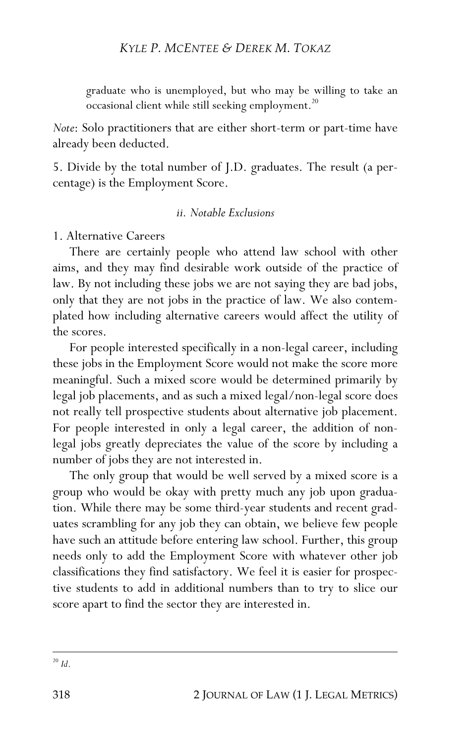graduate who is unemployed, but who may be willing to take an occasional client while still seeking employment.<sup>20</sup>

*Note*: Solo practitioners that are either short-term or part-time have already been deducted.

5. Divide by the total number of J.D. graduates. The result (a percentage) is the Employment Score.

## *ii. Notable Exclusions*

#### 1. Alternative Careers

There are certainly people who attend law school with other aims, and they may find desirable work outside of the practice of law. By not including these jobs we are not saying they are bad jobs, only that they are not jobs in the practice of law. We also contemplated how including alternative careers would affect the utility of the scores.

For people interested specifically in a non-legal career, including these jobs in the Employment Score would not make the score more meaningful. Such a mixed score would be determined primarily by legal job placements, and as such a mixed legal/non-legal score does not really tell prospective students about alternative job placement. For people interested in only a legal career, the addition of nonlegal jobs greatly depreciates the value of the score by including a number of jobs they are not interested in.

The only group that would be well served by a mixed score is a group who would be okay with pretty much any job upon graduation. While there may be some third-year students and recent graduates scrambling for any job they can obtain, we believe few people have such an attitude before entering law school. Further, this group needs only to add the Employment Score with whatever other job classifications they find satisfactory. We feel it is easier for prospective students to add in additional numbers than to try to slice our score apart to find the sector they are interested in.

 $\overline{a}$  $20$  *Id*.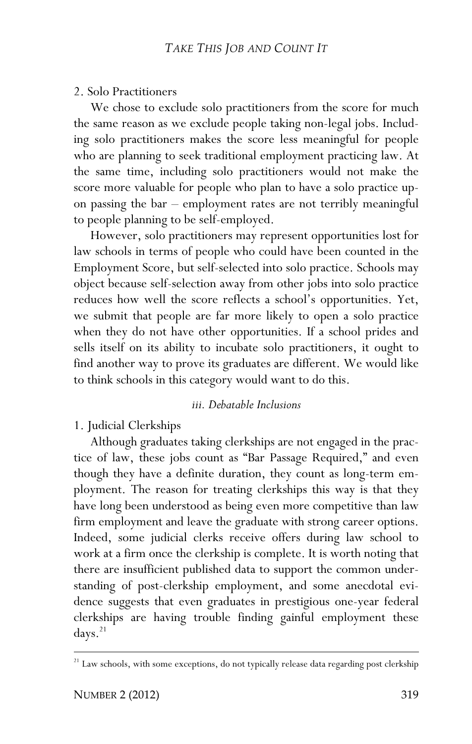#### 2. Solo Practitioners

We chose to exclude solo practitioners from the score for much the same reason as we exclude people taking non-legal jobs. Including solo practitioners makes the score less meaningful for people who are planning to seek traditional employment practicing law. At the same time, including solo practitioners would not make the score more valuable for people who plan to have a solo practice upon passing the bar – employment rates are not terribly meaningful to people planning to be self-employed.

However, solo practitioners may represent opportunities lost for law schools in terms of people who could have been counted in the Employment Score, but self-selected into solo practice. Schools may object because self-selection away from other jobs into solo practice reduces how well the score reflects a school's opportunities. Yet, we submit that people are far more likely to open a solo practice when they do not have other opportunities. If a school prides and sells itself on its ability to incubate solo practitioners, it ought to find another way to prove its graduates are different. We would like to think schools in this category would want to do this.

#### *iii. Debatable Inclusions*

1. Judicial Clerkships

Although graduates taking clerkships are not engaged in the practice of law, these jobs count as "Bar Passage Required," and even though they have a definite duration, they count as long-term employment. The reason for treating clerkships this way is that they have long been understood as being even more competitive than law firm employment and leave the graduate with strong career options. Indeed, some judicial clerks receive offers during law school to work at a firm once the clerkship is complete. It is worth noting that there are insufficient published data to support the common understanding of post-clerkship employment, and some anecdotal evidence suggests that even graduates in prestigious one-year federal clerkships are having trouble finding gainful employment these days. 21

1

 $21$  Law schools, with some exceptions, do not typically release data regarding post clerkship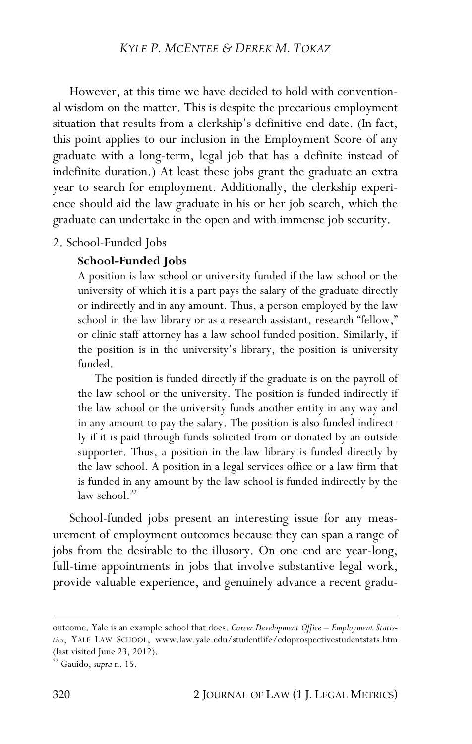However, at this time we have decided to hold with conventional wisdom on the matter. This is despite the precarious employment situation that results from a clerkship's definitive end date. (In fact, this point applies to our inclusion in the Employment Score of any graduate with a long-term, legal job that has a definite instead of indefinite duration.) At least these jobs grant the graduate an extra year to search for employment. Additionally, the clerkship experience should aid the law graduate in his or her job search, which the graduate can undertake in the open and with immense job security.

#### 2. School-Funded Jobs

#### **School-Funded Jobs**

A position is law school or university funded if the law school or the university of which it is a part pays the salary of the graduate directly or indirectly and in any amount. Thus, a person employed by the law school in the law library or as a research assistant, research "fellow," or clinic staff attorney has a law school funded position. Similarly, if the position is in the university's library, the position is university funded.

The position is funded directly if the graduate is on the payroll of the law school or the university. The position is funded indirectly if the law school or the university funds another entity in any way and in any amount to pay the salary. The position is also funded indirectly if it is paid through funds solicited from or donated by an outside supporter. Thus, a position in the law library is funded directly by the law school. A position in a legal services office or a law firm that is funded in any amount by the law school is funded indirectly by the law school.<sup>22</sup>

School-funded jobs present an interesting issue for any measurement of employment outcomes because they can span a range of jobs from the desirable to the illusory. On one end are year-long, full-time appointments in jobs that involve substantive legal work, provide valuable experience, and genuinely advance a recent gradu-

outcome. Yale is an example school that does. *Career Development Office – Employment Statistics*, YALE LAW SCHOOL, www.law.yale.edu/studentlife/cdoprospectivestudentstats.htm (last visited June 23, 2012).

<sup>22</sup> Gauido, *supra* n. 15.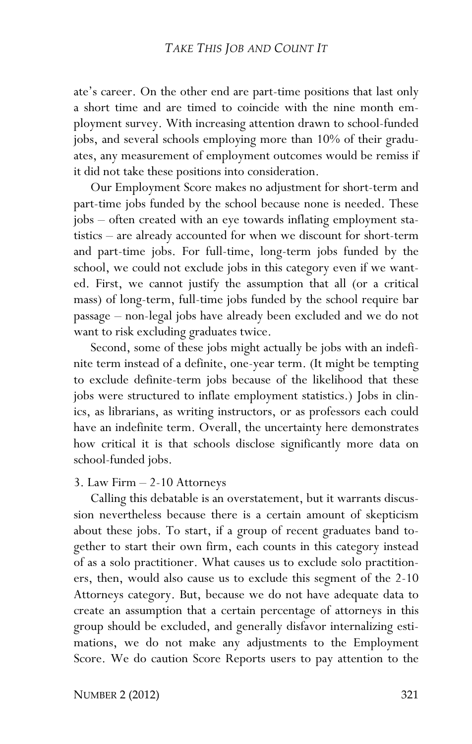ate's career. On the other end are part-time positions that last only a short time and are timed to coincide with the nine month employment survey. With increasing attention drawn to school-funded jobs, and several schools employing more than 10% of their graduates, any measurement of employment outcomes would be remiss if it did not take these positions into consideration.

Our Employment Score makes no adjustment for short-term and part-time jobs funded by the school because none is needed. These jobs – often created with an eye towards inflating employment statistics – are already accounted for when we discount for short-term and part-time jobs. For full-time, long-term jobs funded by the school, we could not exclude jobs in this category even if we wanted. First, we cannot justify the assumption that all (or a critical mass) of long-term, full-time jobs funded by the school require bar passage – non-legal jobs have already been excluded and we do not want to risk excluding graduates twice.

Second, some of these jobs might actually be jobs with an indefinite term instead of a definite, one-year term. (It might be tempting to exclude definite-term jobs because of the likelihood that these jobs were structured to inflate employment statistics.) Jobs in clinics, as librarians, as writing instructors, or as professors each could have an indefinite term. Overall, the uncertainty here demonstrates how critical it is that schools disclose significantly more data on school-funded jobs.

#### 3. Law Firm – 2-10 Attorneys

Calling this debatable is an overstatement, but it warrants discussion nevertheless because there is a certain amount of skepticism about these jobs. To start, if a group of recent graduates band together to start their own firm, each counts in this category instead of as a solo practitioner. What causes us to exclude solo practitioners, then, would also cause us to exclude this segment of the 2-10 Attorneys category. But, because we do not have adequate data to create an assumption that a certain percentage of attorneys in this group should be excluded, and generally disfavor internalizing estimations, we do not make any adjustments to the Employment Score. We do caution Score Reports users to pay attention to the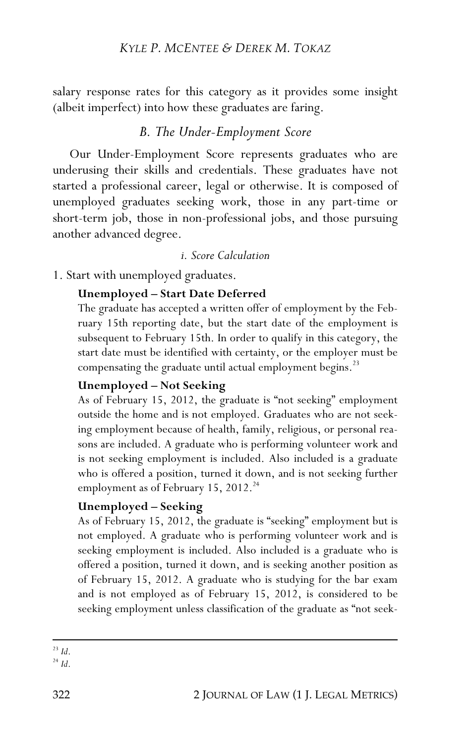salary response rates for this category as it provides some insight (albeit imperfect) into how these graduates are faring.

# *B. The Under-Employment Score*

Our Under-Employment Score represents graduates who are underusing their skills and credentials. These graduates have not started a professional career, legal or otherwise. It is composed of unemployed graduates seeking work, those in any part-time or short-term job, those in non-professional jobs, and those pursuing another advanced degree.

#### *i. Score Calculation*

1. Start with unemployed graduates.

#### **Unemployed – Start Date Deferred**

The graduate has accepted a written offer of employment by the February 15th reporting date, but the start date of the employment is subsequent to February 15th. In order to qualify in this category, the start date must be identified with certainty, or the employer must be compensating the graduate until actual employment begins.<sup>23</sup>

#### **Unemployed – Not Seeking**

As of February 15, 2012, the graduate is "not seeking" employment outside the home and is not employed. Graduates who are not seeking employment because of health, family, religious, or personal reasons are included. A graduate who is performing volunteer work and is not seeking employment is included. Also included is a graduate who is offered a position, turned it down, and is not seeking further employment as of February 15, 2012.<sup>24</sup>

#### **Unemployed – Seeking**

As of February 15, 2012, the graduate is "seeking" employment but is not employed. A graduate who is performing volunteer work and is seeking employment is included. Also included is a graduate who is offered a position, turned it down, and is seeking another position as of February 15, 2012. A graduate who is studying for the bar exam and is not employed as of February 15, 2012, is considered to be seeking employment unless classification of the graduate as "not seek-

 $\overline{a}$ <sup>23</sup> *Id*.

<sup>24</sup> *Id*.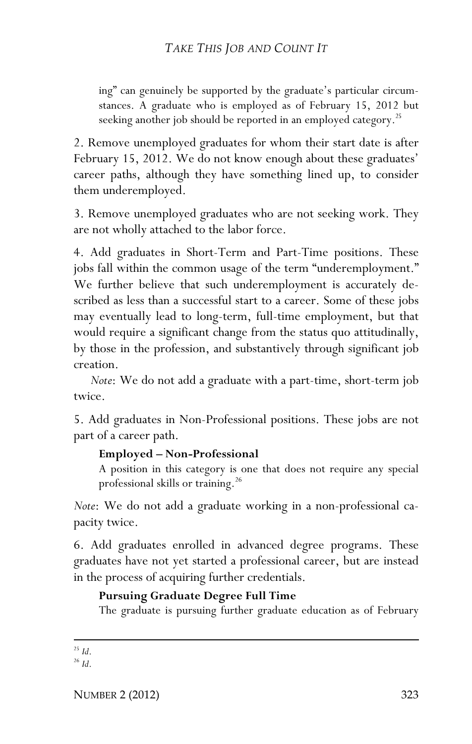ing" can genuinely be supported by the graduate's particular circumstances. A graduate who is employed as of February 15, 2012 but seeking another job should be reported in an employed category.<sup>25</sup>

2. Remove unemployed graduates for whom their start date is after February 15, 2012. We do not know enough about these graduates' career paths, although they have something lined up, to consider them underemployed.

3. Remove unemployed graduates who are not seeking work. They are not wholly attached to the labor force.

4. Add graduates in Short-Term and Part-Time positions. These jobs fall within the common usage of the term "underemployment." We further believe that such underemployment is accurately described as less than a successful start to a career. Some of these jobs may eventually lead to long-term, full-time employment, but that would require a significant change from the status quo attitudinally, by those in the profession, and substantively through significant job creation.

*Note*: We do not add a graduate with a part-time, short-term job twice.

5. Add graduates in Non-Professional positions. These jobs are not part of a career path.

#### **Employed – Non-Professional**

A position in this category is one that does not require any special professional skills or training.<sup>26</sup>

*Note*: We do not add a graduate working in a non-professional capacity twice.

6. Add graduates enrolled in advanced degree programs. These graduates have not yet started a professional career, but are instead in the process of acquiring further credentials.

## **Pursuing Graduate Degree Full Time**

The graduate is pursuing further graduate education as of February

## <u>.</u> <sup>25</sup> *Id*.

<sup>26</sup> *Id*.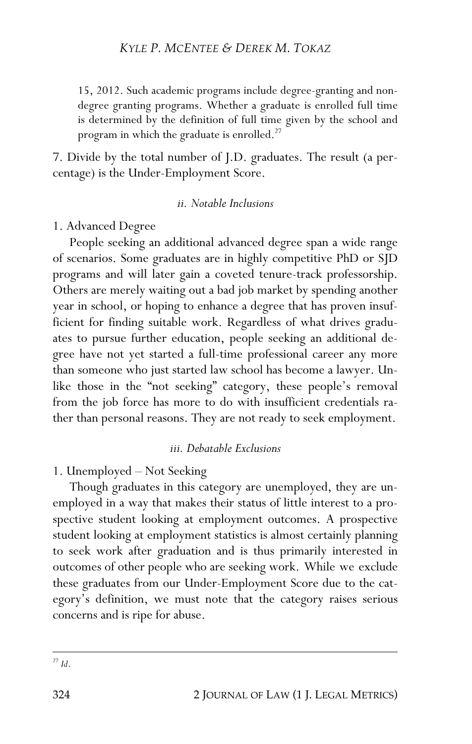15, 2012. Such academic programs include degree-granting and nondegree granting programs. Whether a graduate is enrolled full time is determined by the definition of full time given by the school and program in which the graduate is enrolled.<sup>27</sup>

7. Divide by the total number of J.D. graduates. The result (a percentage) is the Under-Employment Score.

#### *ii. Notable Inclusions*

1. Advanced Degree

People seeking an additional advanced degree span a wide range of scenarios. Some graduates are in highly competitive PhD or SJD programs and will later gain a coveted tenure-track professorship. Others are merely waiting out a bad job market by spending another year in school, or hoping to enhance a degree that has proven insufficient for finding suitable work. Regardless of what drives graduates to pursue further education, people seeking an additional degree have not yet started a full-time professional career any more than someone who just started law school has become a lawyer. Unlike those in the "not seeking" category, these people's removal from the job force has more to do with insufficient credentials rather than personal reasons. They are not ready to seek employment.

#### *iii. Debatable Exclusions*

1. Unemployed – Not Seeking

Though graduates in this category are unemployed, they are unemployed in a way that makes their status of little interest to a prospective student looking at employment outcomes. A prospective student looking at employment statistics is almost certainly planning to seek work after graduation and is thus primarily interested in outcomes of other people who are seeking work. While we exclude these graduates from our Under-Employment Score due to the category's definition, we must note that the category raises serious concerns and is ripe for abuse.

 $\overline{a}$ <sup>27</sup> *Id*.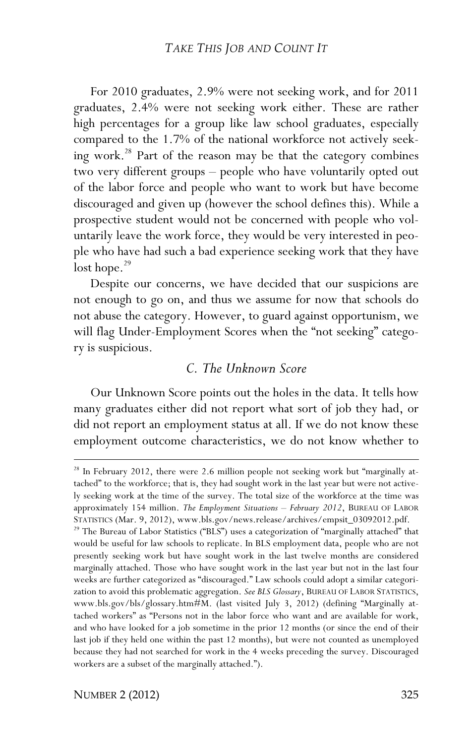For 2010 graduates, 2.9% were not seeking work, and for 2011 graduates, 2.4% were not seeking work either. These are rather high percentages for a group like law school graduates, especially compared to the 1.7% of the national workforce not actively seeking work.28 Part of the reason may be that the category combines two very different groups – people who have voluntarily opted out of the labor force and people who want to work but have become discouraged and given up (however the school defines this). While a prospective student would not be concerned with people who voluntarily leave the work force, they would be very interested in people who have had such a bad experience seeking work that they have  $\frac{1}{29}$ 

Despite our concerns, we have decided that our suspicions are not enough to go on, and thus we assume for now that schools do not abuse the category. However, to guard against opportunism, we will flag Under-Employment Scores when the "not seeking" category is suspicious.

# *C. The Unknown Score*

Our Unknown Score points out the holes in the data. It tells how many graduates either did not report what sort of job they had, or did not report an employment status at all. If we do not know these employment outcome characteristics, we do not know whether to

-

<sup>&</sup>lt;sup>28</sup> In February 2012, there were 2.6 million people not seeking work but "marginally attached" to the workforce; that is, they had sought work in the last year but were not actively seeking work at the time of the survey. The total size of the workforce at the time was approximately 154 million. *The Employment Situations – February 2012*, BUREAU OF LABOR STATISTICS (Mar. 9, 2012), www.bls.gov/news.release/archives/empsit\_03092012.pdf.

<sup>&</sup>lt;sup>29</sup> The Bureau of Labor Statistics ("BLS") uses a categorization of "marginally attached" that would be useful for law schools to replicate. In BLS employment data, people who are not presently seeking work but have sought work in the last twelve months are considered marginally attached. Those who have sought work in the last year but not in the last four weeks are further categorized as "discouraged." Law schools could adopt a similar categorization to avoid this problematic aggregation. *See BLS Glossary*, BUREAU OF LABOR STATISTICS, www.bls.gov/bls/glossary.htm#M. (last visited July 3, 2012) (defining "Marginally attached workers" as "Persons not in the labor force who want and are available for work, and who have looked for a job sometime in the prior 12 months (or since the end of their last job if they held one within the past 12 months), but were not counted as unemployed because they had not searched for work in the 4 weeks preceding the survey. Discouraged workers are a subset of the marginally attached.").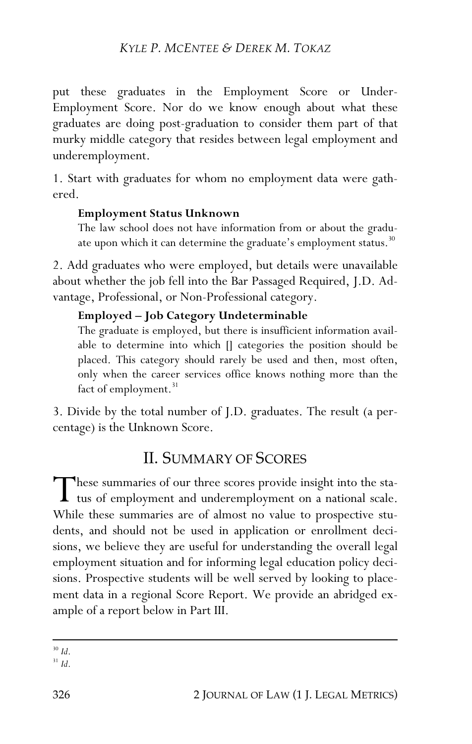# *KYLE P. MCENTEE & DEREK M. TOKAZ*

put these graduates in the Employment Score or Under-Employment Score. Nor do we know enough about what these graduates are doing post-graduation to consider them part of that murky middle category that resides between legal employment and underemployment.

1. Start with graduates for whom no employment data were gathered.

#### **Employment Status Unknown**

The law school does not have information from or about the graduate upon which it can determine the graduate's employment status.<sup>30</sup>

2. Add graduates who were employed, but details were unavailable about whether the job fell into the Bar Passaged Required, J.D. Advantage, Professional, or Non-Professional category.

#### **Employed – Job Category Undeterminable**

The graduate is employed, but there is insufficient information available to determine into which [] categories the position should be placed. This category should rarely be used and then, most often, only when the career services office knows nothing more than the fact of employment.<sup>31</sup>

3. Divide by the total number of J.D. graduates. The result (a percentage) is the Unknown Score.

# II. SUMMARY OF SCORES

These summaries of our three scores provide insight into the sta-These summaries of our three scores provide insight into the sta-<br>tus of employment and underemployment on a national scale.<br>While these summaries are of elmost no value to proposative stu-While these summaries are of almost no value to prospective students, and should not be used in application or enrollment decisions, we believe they are useful for understanding the overall legal employment situation and for informing legal education policy decisions. Prospective students will be well served by looking to placement data in a regional Score Report. We provide an abridged example of a report below in Part III.

<sup>31</sup> *Id*.

 $\overline{a}$ <sup>30</sup> *Id*.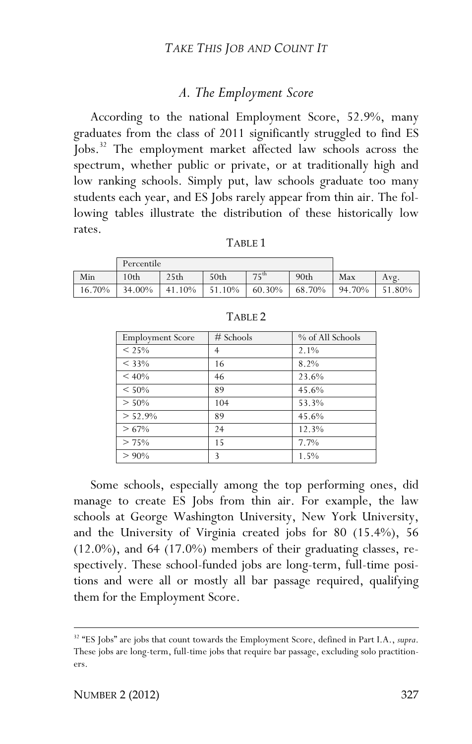# *A. The Employment Score*

According to the national Employment Score, 52.9%, many graduates from the class of 2011 significantly struggled to find ES Jobs.<sup>32</sup> The employment market affected law schools across the spectrum, whether public or private, or at traditionally high and low ranking schools. Simply put, law schools graduate too many students each year, and ES Jobs rarely appear from thin air. The following tables illustrate the distribution of these historically low rates.

|        | Percentile       |                  |        |                  |                  |        |        |
|--------|------------------|------------------|--------|------------------|------------------|--------|--------|
| Min    | 10 <sub>th</sub> | 25 <sub>th</sub> | 50th   | $7 \text{ c}$ th | 90 <sub>th</sub> | Max    | Avg.   |
| 16.70% | 34.00%           | 41.10%           | 51.10% | 60.30%           | 68.70%           | 94.70% | 51.80% |

TABLE 1

| <b>Employment Score</b> | $#$ Schools | % of All Schools |
|-------------------------|-------------|------------------|
| $< 25\%$                | 4           | $2.1\%$          |
| $< 33\%$                | 16          | 8.2%             |
| $< 40\%$                | 46          | 23.6%            |
| $< 50\%$                | 89          | 45.6%            |
| $> 50\%$                | 104         | 53.3%            |
| $> 52.9\%$              | 89          | 45.6%            |
| $>67\%$                 | 24          | 12.3%            |
| > 75%                   | 15          | 7.7%             |
| $> 90\%$                | 3           | 1.5%             |

TABLE 2

Some schools, especially among the top performing ones, did manage to create ES Jobs from thin air. For example, the law schools at George Washington University, New York University, and the University of Virginia created jobs for 80 (15.4%), 56  $(12.0\%)$ , and 64  $(17.0\%)$  members of their graduating classes, respectively. These school-funded jobs are long-term, full-time positions and were all or mostly all bar passage required, qualifying them for the Employment Score.

1

<sup>32</sup> "ES Jobs" are jobs that count towards the Employment Score, defined in Part I.A., *supra*. These jobs are long-term, full-time jobs that require bar passage, excluding solo practitioners.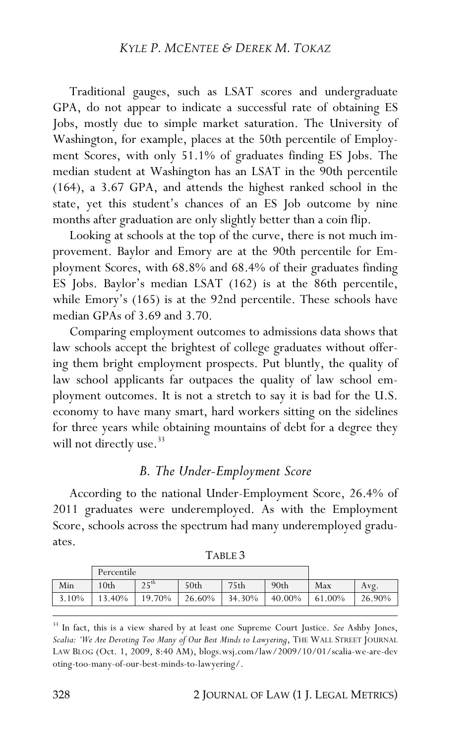Traditional gauges, such as LSAT scores and undergraduate GPA, do not appear to indicate a successful rate of obtaining ES Jobs, mostly due to simple market saturation. The University of Washington, for example, places at the 50th percentile of Employment Scores, with only 51.1% of graduates finding ES Jobs. The median student at Washington has an LSAT in the 90th percentile (164), a 3.67 GPA, and attends the highest ranked school in the state, yet this student's chances of an ES Job outcome by nine months after graduation are only slightly better than a coin flip.

Looking at schools at the top of the curve, there is not much improvement. Baylor and Emory are at the 90th percentile for Employment Scores, with 68.8% and 68.4% of their graduates finding ES Jobs. Baylor's median LSAT (162) is at the 86th percentile, while Emory's (165) is at the 92nd percentile. These schools have median GPAs of 3.69 and 3.70.

Comparing employment outcomes to admissions data shows that law schools accept the brightest of college graduates without offering them bright employment prospects. Put bluntly, the quality of law school applicants far outpaces the quality of law school employment outcomes. It is not a stretch to say it is bad for the U.S. economy to have many smart, hard workers sitting on the sidelines for three years while obtaining mountains of debt for a degree they will not directly use.<sup>33</sup>

# *B. The Under-Employment Score*

According to the national Under-Employment Score, 26.4% of 2011 graduates were underemployed. As with the Employment Score, schools across the spectrum had many underemployed graduates.

|       | Percentile |                  |        |                  |                  |        |        |
|-------|------------|------------------|--------|------------------|------------------|--------|--------|
| Min   | 10th       | $25^{\text{th}}$ | 50th   | 75 <sub>th</sub> | 90 <sub>th</sub> | Max    | Avg.   |
| 3.10% | $3.40\%$   | 19.70%           | 26.60% | 34.30%           | 40.00%           | 61.00% | 26.90% |
|       |            |                  |        |                  |                  |        |        |

| ۰BI ۰ |
|-------|
|-------|

<sup>33</sup> In fact, this is a view shared by at least one Supreme Court Justice. *See* Ashby Jones, *Scalia: 'We Are Devoting Too Many of Our Best Minds to Lawyering*, THE WALL STREET JOURNAL LAW BLOG (Oct. 1, 2009, 8:40 AM), blogs.wsj.com/law/2009/10/01/scalia-we-are-dev oting-too-many-of-our-best-minds-to-lawyering/.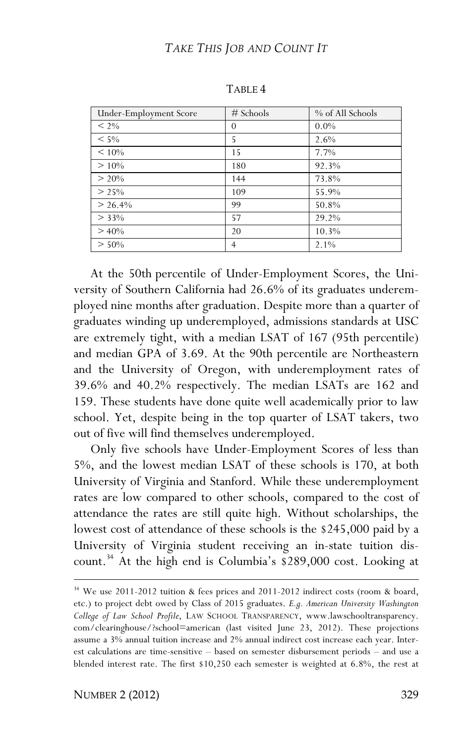| Under-Employment Score | $#$ Schools    | % of All Schools |
|------------------------|----------------|------------------|
| $< 2\%$                | $\Omega$       | $0.0\%$          |
| $< 5\%$                | 5              | 2.6%             |
| $< 10\%$               | 15             | 7.7%             |
| $> 10\%$               | 180            | 92.3%            |
| $> 20\%$               | 144            | 73.8%            |
| $> 25\%$               | 109            | 55.9%            |
| $> 26.4\%$             | 99             | 50.8%            |
| $> 33\%$               | 57             | 29.2%            |
| $> 40\%$               | 20             | 10.3%            |
| $> 50\%$               | $\overline{4}$ | $2.1\%$          |

TABLE 4

At the 50th percentile of Under-Employment Scores, the University of Southern California had 26.6% of its graduates underemployed nine months after graduation. Despite more than a quarter of graduates winding up underemployed, admissions standards at USC are extremely tight, with a median LSAT of 167 (95th percentile) and median GPA of 3.69. At the 90th percentile are Northeastern and the University of Oregon, with underemployment rates of 39.6% and 40.2% respectively. The median LSATs are 162 and 159. These students have done quite well academically prior to law school. Yet, despite being in the top quarter of LSAT takers, two out of five will find themselves underemployed.

Only five schools have Under-Employment Scores of less than 5%, and the lowest median LSAT of these schools is 170, at both University of Virginia and Stanford. While these underemployment rates are low compared to other schools, compared to the cost of attendance the rates are still quite high. Without scholarships, the lowest cost of attendance of these schools is the \$245,000 paid by a University of Virginia student receiving an in-state tuition discount.34 At the high end is Columbia's \$289,000 cost. Looking at

1

<sup>&</sup>lt;sup>34</sup> We use 2011-2012 tuition & fees prices and 2011-2012 indirect costs (room & board, etc.) to project debt owed by Class of 2015 graduates. *E.g. American University Washington College of Law School Profile*, LAW SCHOOL TRANSPARENCY, www.lawschooltransparency. com/clearinghouse/?school=american (last visited June 23, 2012). These projections assume a 3% annual tuition increase and 2% annual indirect cost increase each year. Interest calculations are time-sensitive – based on semester disbursement periods – and use a blended interest rate. The first \$10,250 each semester is weighted at 6.8%, the rest at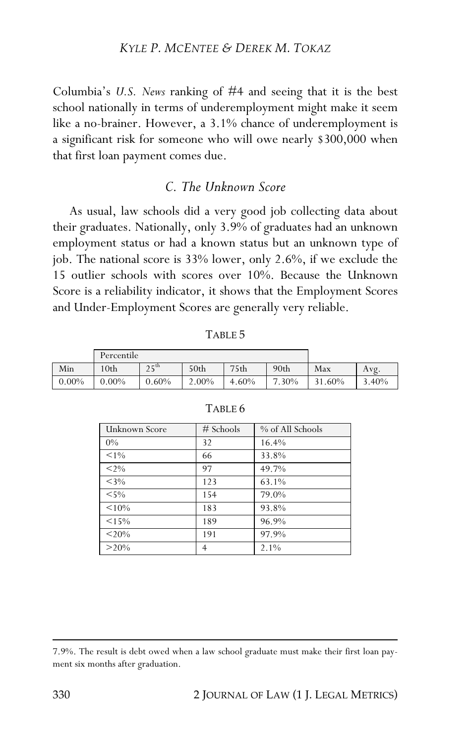#### *KYLE P. MCENTEE & DEREK M. TOKAZ*

Columbia's *U.S. News* ranking of #4 and seeing that it is the best school nationally in terms of underemployment might make it seem like a no-brainer. However, a 3.1% chance of underemployment is a significant risk for someone who will owe nearly \$300,000 when that first loan payment comes due.

## *C. The Unknown Score*

As usual, law schools did a very good job collecting data about their graduates. Nationally, only 3.9% of graduates had an unknown employment status or had a known status but an unknown type of job. The national score is 33% lower, only 2.6%, if we exclude the 15 outlier schools with scores over 10%. Because the Unknown Score is a reliability indicator, it shows that the Employment Scores and Under-Employment Scores are generally very reliable.

|          | Percentile |                  |                  |                  |                  |     |       |
|----------|------------|------------------|------------------|------------------|------------------|-----|-------|
| Min      | 10th       | $25^{\text{th}}$ | 50 <sub>th</sub> | 75 <sub>th</sub> | 90 <sub>th</sub> | Max | Avg.  |
| $0.00\%$ | $0.00\%$   | $0.60\%$         | 2.00%            | $4.60\%$         | $7.30\%$ 31.60%  |     | 3.40% |

| n.<br>۰. |  |
|----------|--|
|----------|--|

| Unknown Score | # Schools      | % of All Schools |
|---------------|----------------|------------------|
| $0\%$         | 32             | 16.4%            |
| $< 1\%$       | 66             | 33.8%            |
| $< 2\%$       | 97             | 49.7%            |
| $<$ 3%        | 123            | 63.1%            |
| $< 5\%$       | 154            | 79.0%            |
| $< 10\%$      | 183            | 93.8%            |
| $< 15\%$      | 189            | 96.9%            |
| $< 20\%$      | 191            | 97.9%            |
| $>20\%$       | $\overline{4}$ | 2.1%             |

#### TABLE 6

<sup>7.9%.</sup> The result is debt owed when a law school graduate must make their first loan payment six months after graduation.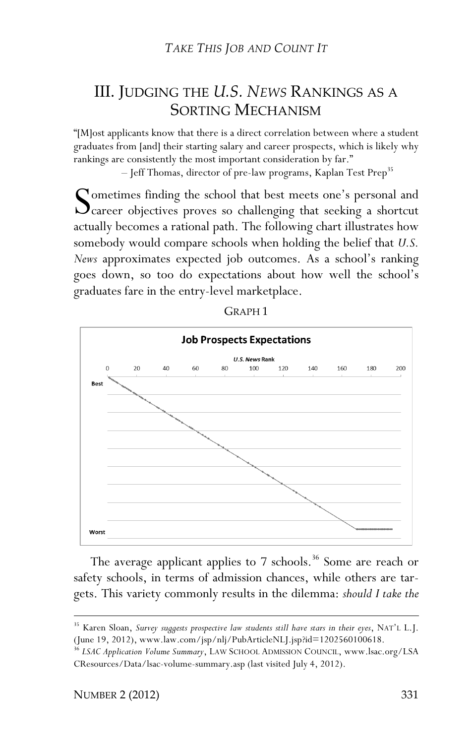# III. JUDGING THE *U.S. NEWS* RANKINGS AS A SORTING MECHANISM

"[M]ost applicants know that there is a direct correlation between where a student graduates from [and] their starting salary and career prospects, which is likely why rankings are consistently the most important consideration by far."

– Jeff Thomas, director of pre-law programs, Kaplan Test Prep<sup>35</sup>

ometimes finding the school that best meets one's personal and Sometimes finding the school that best meets one's personal and<br>Career objectives proves so challenging that seeking a shortcut<br>extually because a patienal path. The following short illustrates how actually becomes a rational path. The following chart illustrates how somebody would compare schools when holding the belief that *U.S. News* approximates expected job outcomes. As a school's ranking goes down, so too do expectations about how well the school's graduates fare in the entry-level marketplace.





The average applicant applies to 7 schools.<sup>36</sup> Some are reach or safety schools, in terms of admission chances, while others are targets. This variety commonly results in the dilemma: *should I take the* 

<u>.</u>

<sup>35</sup> Karen Sloan, *Survey suggests prospective law students still have stars in their eyes*, NAT'L L.J. (June 19, 2012), www.law.com/jsp/nlj/PubArticleNLJ.jsp?id=1202560100618.

<sup>36</sup> *LSAC Application Volume Summary*, LAW SCHOOL ADMISSION COUNCIL, www.lsac.org/LSA CResources/Data/lsac-volume-summary.asp (last visited July 4, 2012).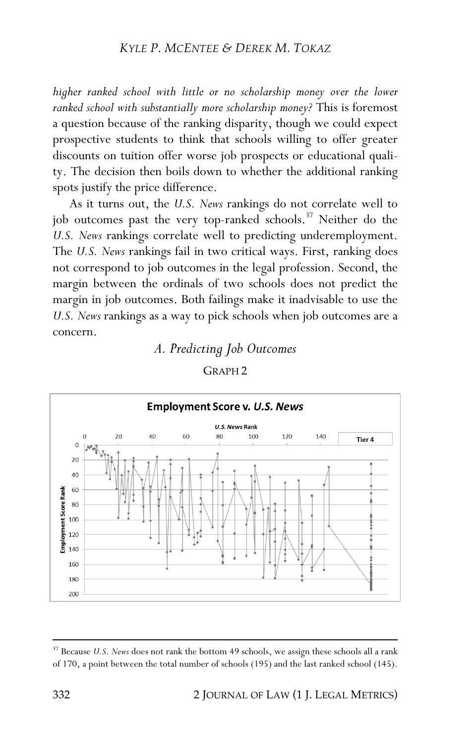#### *KYLE P. MCENTEE & DEREK M. TOKAZ*

*higher ranked school with little or no scholarship money over the lower ranked school with substantially more scholarship money?* This is foremost a question because of the ranking disparity, though we could expect prospective students to think that schools willing to offer greater discounts on tuition offer worse job prospects or educational quality. The decision then boils down to whether the additional ranking spots justify the price difference.

As it turns out, the *U.S. News* rankings do not correlate well to job outcomes past the very top-ranked schools.<sup>37</sup> Neither do the *U.S. News* rankings correlate well to predicting underemployment. The *U.S. News* rankings fail in two critical ways. First, ranking does not correspond to job outcomes in the legal profession. Second, the margin between the ordinals of two schools does not predict the margin in job outcomes. Both failings make it inadvisable to use the *U.S. News* rankings as a way to pick schools when job outcomes are a concern.

# *A. Predicting Job Outcomes* GRAPH 2



<sup>&</sup>lt;sup>37</sup> Because *U.S. News* does not rank the bottom 49 schools, we assign these schools all a rank of 170, a point between the total number of schools (195) and the last ranked school (145).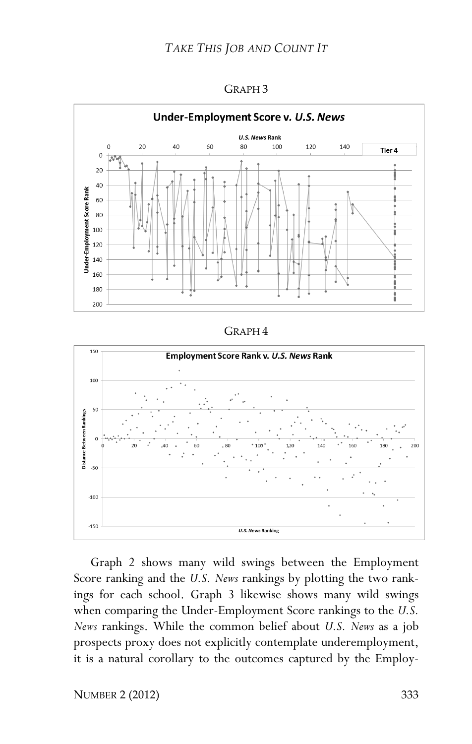

#### GRAPH 3

#### GRAPH 4



Graph 2 shows many wild swings between the Employment Score ranking and the *U.S. News* rankings by plotting the two rankings for each school. Graph 3 likewise shows many wild swings when comparing the Under-Employment Score rankings to the *U.S. News* rankings. While the common belief about *U.S. News* as a job prospects proxy does not explicitly contemplate underemployment, it is a natural corollary to the outcomes captured by the Employ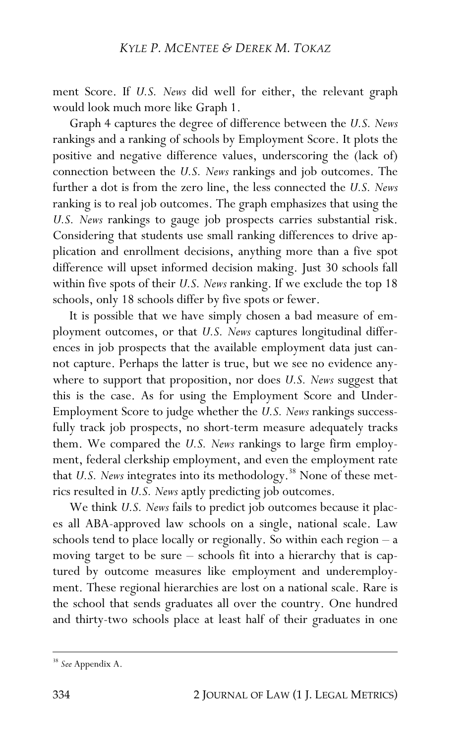ment Score. If *U.S. News* did well for either, the relevant graph would look much more like Graph 1.

Graph 4 captures the degree of difference between the *U.S. News*  rankings and a ranking of schools by Employment Score. It plots the positive and negative difference values, underscoring the (lack of) connection between the *U.S. News* rankings and job outcomes. The further a dot is from the zero line, the less connected the *U.S. News*  ranking is to real job outcomes. The graph emphasizes that using the *U.S. News* rankings to gauge job prospects carries substantial risk. Considering that students use small ranking differences to drive application and enrollment decisions, anything more than a five spot difference will upset informed decision making. Just 30 schools fall within five spots of their *U.S. News* ranking. If we exclude the top 18 schools, only 18 schools differ by five spots or fewer.

It is possible that we have simply chosen a bad measure of employment outcomes, or that *U.S. News* captures longitudinal differences in job prospects that the available employment data just cannot capture. Perhaps the latter is true, but we see no evidence anywhere to support that proposition, nor does *U.S. News* suggest that this is the case. As for using the Employment Score and Under-Employment Score to judge whether the *U.S. News* rankings successfully track job prospects, no short-term measure adequately tracks them. We compared the *U.S. News* rankings to large firm employment, federal clerkship employment, and even the employment rate that *U.S. News* integrates into its methodology.<sup>38</sup> None of these metrics resulted in *U.S. News* aptly predicting job outcomes.

We think *U.S. News* fails to predict job outcomes because it places all ABA-approved law schools on a single, national scale. Law schools tend to place locally or regionally. So within each region – a moving target to be sure – schools fit into a hierarchy that is captured by outcome measures like employment and underemployment. These regional hierarchies are lost on a national scale. Rare is the school that sends graduates all over the country. One hundred and thirty-two schools place at least half of their graduates in one

<sup>38</sup> *See* Appendix A.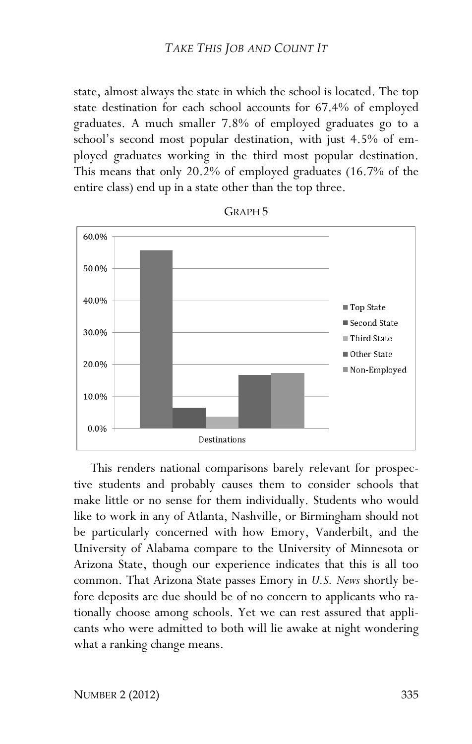state, almost always the state in which the school is located. The top state destination for each school accounts for 67.4% of employed graduates. A much smaller 7.8% of employed graduates go to a school's second most popular destination, with just 4.5% of employed graduates working in the third most popular destination. This means that only 20.2% of employed graduates (16.7% of the entire class) end up in a state other than the top three.



GRAPH 5

This renders national comparisons barely relevant for prospective students and probably causes them to consider schools that make little or no sense for them individually. Students who would like to work in any of Atlanta, Nashville, or Birmingham should not be particularly concerned with how Emory, Vanderbilt, and the University of Alabama compare to the University of Minnesota or Arizona State, though our experience indicates that this is all too common. That Arizona State passes Emory in *U.S. News* shortly before deposits are due should be of no concern to applicants who rationally choose among schools. Yet we can rest assured that applicants who were admitted to both will lie awake at night wondering what a ranking change means.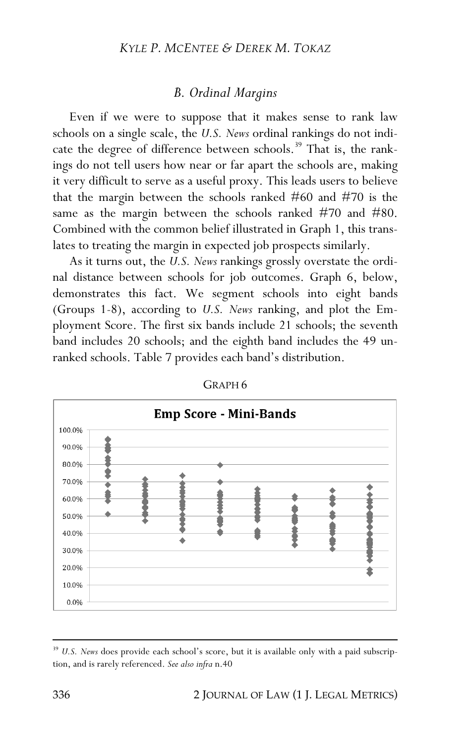#### *KYLE P. MCENTEE & DEREK M. TOKAZ*

# *B. Ordinal Margins*

Even if we were to suppose that it makes sense to rank law schools on a single scale, the *U.S. News* ordinal rankings do not indicate the degree of difference between schools.<sup>39</sup> That is, the rankings do not tell users how near or far apart the schools are, making it very difficult to serve as a useful proxy. This leads users to believe that the margin between the schools ranked #60 and #70 is the same as the margin between the schools ranked #70 and #80. Combined with the common belief illustrated in Graph 1, this translates to treating the margin in expected job prospects similarly.

As it turns out, the *U.S. News* rankings grossly overstate the ordinal distance between schools for job outcomes. Graph 6, below, demonstrates this fact. We segment schools into eight bands (Groups 1-8), according to *U.S. News* ranking, and plot the Employment Score. The first six bands include 21 schools; the seventh band includes 20 schools; and the eighth band includes the 49 unranked schools. Table 7 provides each band's distribution.



GRAPH 6

<sup>&</sup>lt;sup>39</sup> U.S. News does provide each school's score, but it is available only with a paid subscription, and is rarely referenced. *See also infra* n.40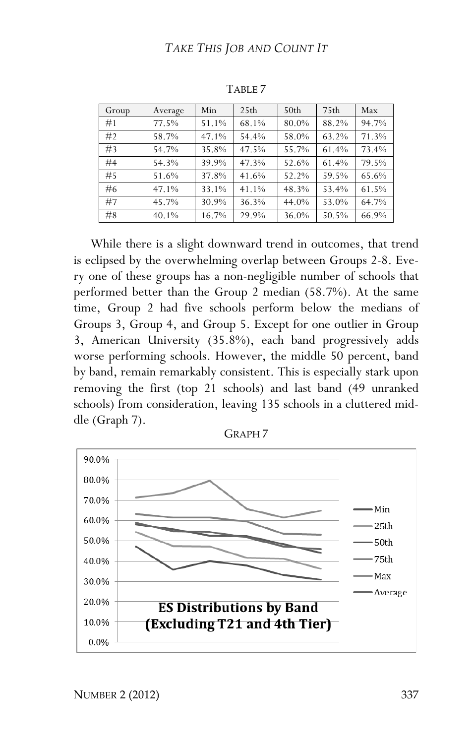| Group | Average | Min   | 25 <sub>th</sub> | 50 <sub>th</sub> | 75 <sub>th</sub> | Max   |
|-------|---------|-------|------------------|------------------|------------------|-------|
| #1    | 77.5%   | 51.1% | 68.1%            | 80.0%            | 88.2%            | 94.7% |
| #2    | 58.7%   | 47.1% | 54.4%            | 58.0%            | 63.2%            | 71.3% |
| #3    | 54.7%   | 35.8% | 47.5%            | 55.7%            | 61.4%            | 73.4% |
| #4    | 54.3%   | 39.9% | 47.3%            | 52.6%            | 61.4%            | 79.5% |
| #5    | 51.6%   | 37.8% | 41.6%            | 52.2%            | 59.5%            | 65.6% |
| #6    | 47.1%   | 33.1% | 41.1%            | 48.3%            | 53.4%            | 61.5% |
| #7    | 45.7%   | 30.9% | 36.3%            | 44.0%            | 53.0%            | 64.7% |
| #8    | 40.1%   | 16.7% | 29.9%            | 36.0%            | 50.5%            | 66.9% |

TABLE 7

While there is a slight downward trend in outcomes, that trend is eclipsed by the overwhelming overlap between Groups 2-8. Every one of these groups has a non-negligible number of schools that performed better than the Group 2 median (58.7%). At the same time, Group 2 had five schools perform below the medians of Groups 3, Group 4, and Group 5. Except for one outlier in Group 3, American University (35.8%), each band progressively adds worse performing schools. However, the middle 50 percent, band by band, remain remarkably consistent. This is especially stark upon removing the first (top 21 schools) and last band (49 unranked schools) from consideration, leaving 135 schools in a cluttered middle (Graph 7).



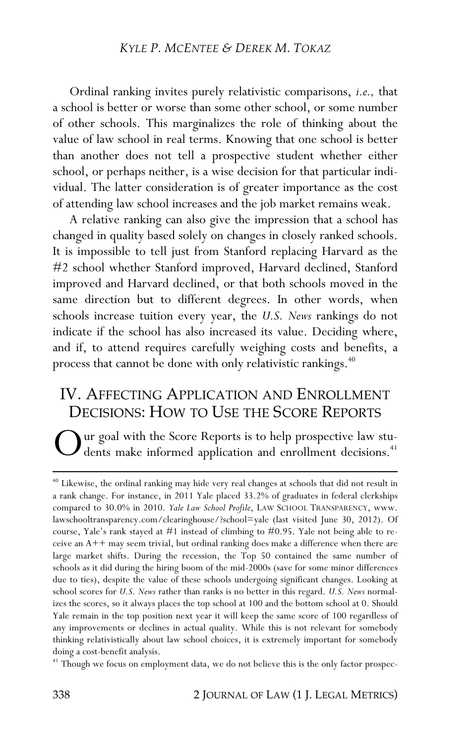Ordinal ranking invites purely relativistic comparisons, *i.e.,* that a school is better or worse than some other school, or some number of other schools. This marginalizes the role of thinking about the value of law school in real terms. Knowing that one school is better than another does not tell a prospective student whether either school, or perhaps neither, is a wise decision for that particular individual. The latter consideration is of greater importance as the cost of attending law school increases and the job market remains weak.

A relative ranking can also give the impression that a school has changed in quality based solely on changes in closely ranked schools. It is impossible to tell just from Stanford replacing Harvard as the #2 school whether Stanford improved, Harvard declined, Stanford improved and Harvard declined, or that both schools moved in the same direction but to different degrees. In other words, when schools increase tuition every year, the *U.S. News* rankings do not indicate if the school has also increased its value. Deciding where, and if, to attend requires carefully weighing costs and benefits, a process that cannot be done with only relativistic rankings.<sup>40</sup>

# IV. AFFECTING APPLICATION AND ENROLLMENT DECISIONS: HOW TO USE THE SCORE REPORTS

ur goal with the Score Reports is to help prospective law students make informed application and enrollment decisions.<sup>41</sup> O

<sup>41</sup> Though we focus on employment data, we do not believe this is the only factor prospec-

<sup>&</sup>lt;sup>40</sup> Likewise, the ordinal ranking may hide very real changes at schools that did not result in a rank change. For instance, in 2011 Yale placed 33.2% of graduates in federal clerkships compared to 30.0% in 2010. *Yale Law School Profile*, LAW SCHOOL TRANSPARENCY, www. lawschooltransparency.com/clearinghouse/?school=yale (last visited June 30, 2012). Of course, Yale's rank stayed at #1 instead of climbing to #0.95. Yale not being able to receive an  $A++$  may seem trivial, but ordinal ranking does make a difference when there are large market shifts. During the recession, the Top 50 contained the same number of schools as it did during the hiring boom of the mid-2000s (save for some minor differences due to ties), despite the value of these schools undergoing significant changes. Looking at school scores for *U.S. News* rather than ranks is no better in this regard. *U.S. News* normalizes the scores, so it always places the top school at 100 and the bottom school at 0. Should Yale remain in the top position next year it will keep the same score of 100 regardless of any improvements or declines in actual quality. While this is not relevant for somebody thinking relativistically about law school choices, it is extremely important for somebody doing a cost-benefit analysis.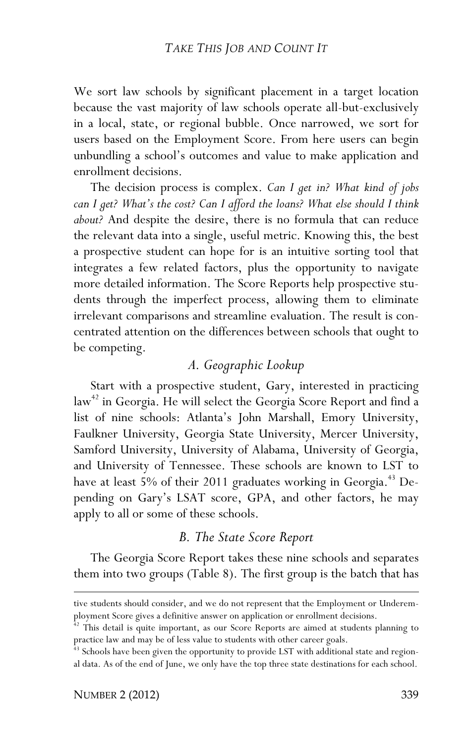We sort law schools by significant placement in a target location because the vast majority of law schools operate all-but-exclusively in a local, state, or regional bubble. Once narrowed, we sort for users based on the Employment Score. From here users can begin unbundling a school's outcomes and value to make application and enrollment decisions.

The decision process is complex. *Can I get in? What kind of jobs can I get? What's the cost? Can I afford the loans? What else should I think about?* And despite the desire, there is no formula that can reduce the relevant data into a single, useful metric. Knowing this, the best a prospective student can hope for is an intuitive sorting tool that integrates a few related factors, plus the opportunity to navigate more detailed information. The Score Reports help prospective students through the imperfect process, allowing them to eliminate irrelevant comparisons and streamline evaluation. The result is concentrated attention on the differences between schools that ought to be competing.

# *A. Geographic Lookup*

Start with a prospective student, Gary, interested in practicing law<sup>42</sup> in Georgia. He will select the Georgia Score Report and find a list of nine schools: Atlanta's John Marshall, Emory University, Faulkner University, Georgia State University, Mercer University, Samford University, University of Alabama, University of Georgia, and University of Tennessee. These schools are known to LST to have at least 5% of their 2011 graduates working in Georgia.<sup>43</sup> Depending on Gary's LSAT score, GPA, and other factors, he may apply to all or some of these schools.

# *B. The State Score Report*

The Georgia Score Report takes these nine schools and separates them into two groups (Table 8). The first group is the batch that has

<u>.</u>

tive students should consider, and we do not represent that the Employment or Underemployment Score gives a definitive answer on application or enrollment decisions.

 $42$  This detail is quite important, as our Score Reports are aimed at students planning to practice law and may be of less value to students with other career goals.

<sup>&</sup>lt;sup>43</sup> Schools have been given the opportunity to provide LST with additional state and regional data. As of the end of June, we only have the top three state destinations for each school.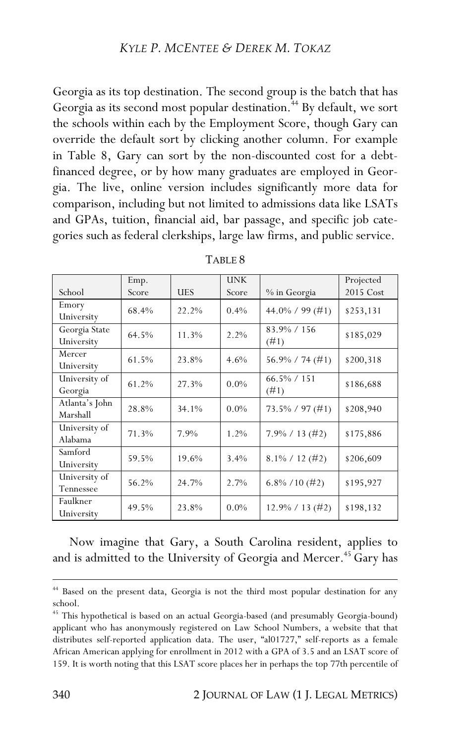Georgia as its top destination. The second group is the batch that has Georgia as its second most popular destination.<sup>44</sup> By default, we sort the schools within each by the Employment Score, though Gary can override the default sort by clicking another column. For example in Table 8, Gary can sort by the non-discounted cost for a debtfinanced degree, or by how many graduates are employed in Georgia. The live, online version includes significantly more data for comparison, including but not limited to admissions data like LSATs and GPAs, tuition, financial aid, bar passage, and specific job categories such as federal clerkships, large law firms, and public service.

|                | Emp.  |            | <b>UNK</b> |                       | Projected |  |
|----------------|-------|------------|------------|-----------------------|-----------|--|
| School         | Score | <b>UES</b> | Score      | % in Georgia          | 2015 Cost |  |
| Emory          | 68.4% | 22.2%      | $0.4\%$    | 44.0\% / 99 (#1)      | \$253,131 |  |
| University     |       |            |            |                       |           |  |
| Georgia State  | 64.5% | 11.3%      | $2.2\%$    | 83.9% / 156           | \$185,029 |  |
| University     |       |            |            | (#1)                  |           |  |
| Mercer         | 61.5% | 23.8%      | 4.6%       | $56.9\% / 74 \ (\#1)$ | \$200,318 |  |
| University     |       |            |            |                       |           |  |
| University of  | 61.2% | 27.3%      | $0.0\%$    | $66.5\% / 151$        | \$186,688 |  |
| Georgia        |       |            |            | (#1)                  |           |  |
| Atlanta's John | 28.8% | 34.1%      | $0.0\%$    | $73.5\% / 97 \ (#1)$  | \$208,940 |  |
| Marshall       |       |            |            |                       |           |  |
| University of  | 71.3% | 7.9%       | 1.2%       | $7.9\% / 13 \ (\#2)$  | \$175,886 |  |
| Alabama        |       |            |            |                       |           |  |
| Samford        | 59.5% | 19.6%      | 3.4%       | $8.1\% / 12 \ (\#2)$  |           |  |
| University     |       |            |            |                       | \$206,609 |  |
| University of  | 56.2% | 24.7%      | $2.7\%$    |                       |           |  |
| Tennessee      |       |            |            | $6.8\%$ / 10 (#2)     | \$195,927 |  |
| Faulkner       |       | 23.8%      |            |                       |           |  |
| University     | 49.5% |            | $0.0\%$    | $12.9\% / 13 \ (\#2)$ | \$198,132 |  |

TABLE 8

Now imagine that Gary, a South Carolina resident, applies to and is admitted to the University of Georgia and Mercer.<sup>45</sup> Gary has

<sup>44</sup> Based on the present data, Georgia is not the third most popular destination for any school.

<sup>45</sup> This hypothetical is based on an actual Georgia-based (and presumably Georgia-bound) applicant who has anonymously registered on Law School Numbers, a website that that distributes self-reported application data. The user, "al01727," self-reports as a female African American applying for enrollment in 2012 with a GPA of 3.5 and an LSAT score of 159. It is worth noting that this LSAT score places her in perhaps the top 77th percentile of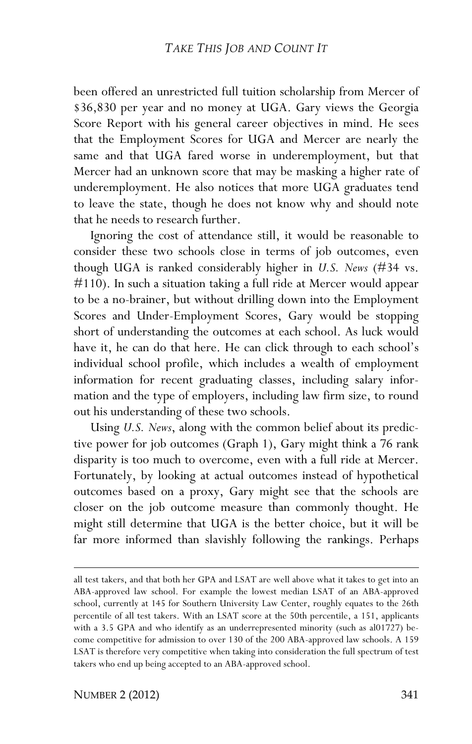been offered an unrestricted full tuition scholarship from Mercer of \$36,830 per year and no money at UGA. Gary views the Georgia Score Report with his general career objectives in mind. He sees that the Employment Scores for UGA and Mercer are nearly the same and that UGA fared worse in underemployment, but that Mercer had an unknown score that may be masking a higher rate of underemployment. He also notices that more UGA graduates tend to leave the state, though he does not know why and should note that he needs to research further.

Ignoring the cost of attendance still, it would be reasonable to consider these two schools close in terms of job outcomes, even though UGA is ranked considerably higher in *U.S. News* (#34 vs. #110). In such a situation taking a full ride at Mercer would appear to be a no-brainer, but without drilling down into the Employment Scores and Under-Employment Scores, Gary would be stopping short of understanding the outcomes at each school. As luck would have it, he can do that here. He can click through to each school's individual school profile, which includes a wealth of employment information for recent graduating classes, including salary information and the type of employers, including law firm size, to round out his understanding of these two schools.

Using *U.S. News*, along with the common belief about its predictive power for job outcomes (Graph 1), Gary might think a 76 rank disparity is too much to overcome, even with a full ride at Mercer. Fortunately, by looking at actual outcomes instead of hypothetical outcomes based on a proxy, Gary might see that the schools are closer on the job outcome measure than commonly thought. He might still determine that UGA is the better choice, but it will be far more informed than slavishly following the rankings. Perhaps

<u>.</u>

all test takers, and that both her GPA and LSAT are well above what it takes to get into an ABA-approved law school. For example the lowest median LSAT of an ABA-approved school, currently at 145 for Southern University Law Center, roughly equates to the 26th percentile of all test takers. With an LSAT score at the 50th percentile, a 151, applicants with a 3.5 GPA and who identify as an underrepresented minority (such as al01727) become competitive for admission to over 130 of the 200 ABA-approved law schools. A 159 LSAT is therefore very competitive when taking into consideration the full spectrum of test takers who end up being accepted to an ABA-approved school.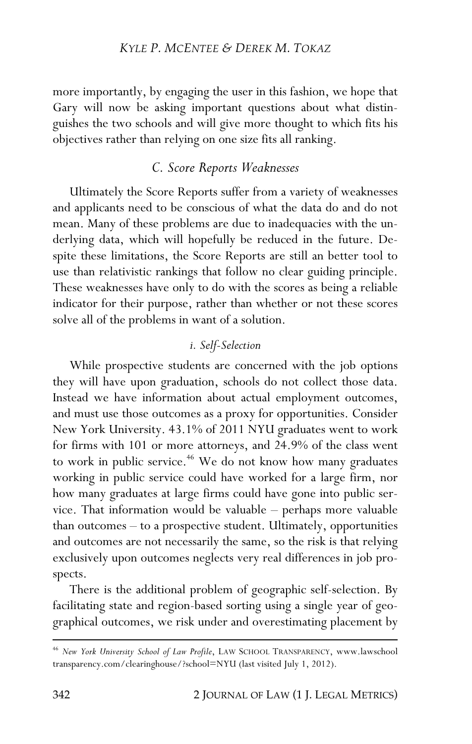#### *KYLE P. MCENTEE & DEREK M. TOKAZ*

more importantly, by engaging the user in this fashion, we hope that Gary will now be asking important questions about what distinguishes the two schools and will give more thought to which fits his objectives rather than relying on one size fits all ranking.

# *C. Score Reports Weaknesses*

Ultimately the Score Reports suffer from a variety of weaknesses and applicants need to be conscious of what the data do and do not mean. Many of these problems are due to inadequacies with the underlying data, which will hopefully be reduced in the future. Despite these limitations, the Score Reports are still an better tool to use than relativistic rankings that follow no clear guiding principle. These weaknesses have only to do with the scores as being a reliable indicator for their purpose, rather than whether or not these scores solve all of the problems in want of a solution.

## *i. Self-Selection*

While prospective students are concerned with the job options they will have upon graduation, schools do not collect those data. Instead we have information about actual employment outcomes, and must use those outcomes as a proxy for opportunities. Consider New York University. 43.1% of 2011 NYU graduates went to work for firms with 101 or more attorneys, and 24.9% of the class went to work in public service.<sup>46</sup> We do not know how many graduates working in public service could have worked for a large firm, nor how many graduates at large firms could have gone into public service. That information would be valuable – perhaps more valuable than outcomes – to a prospective student. Ultimately, opportunities and outcomes are not necessarily the same, so the risk is that relying exclusively upon outcomes neglects very real differences in job prospects.

There is the additional problem of geographic self-selection. By facilitating state and region-based sorting using a single year of geographical outcomes, we risk under and overestimating placement by

<sup>46</sup> *New York University School of Law Profile*, LAW SCHOOL TRANSPARENCY, www.lawschool transparency.com/clearinghouse/?school=NYU (last visited July 1, 2012).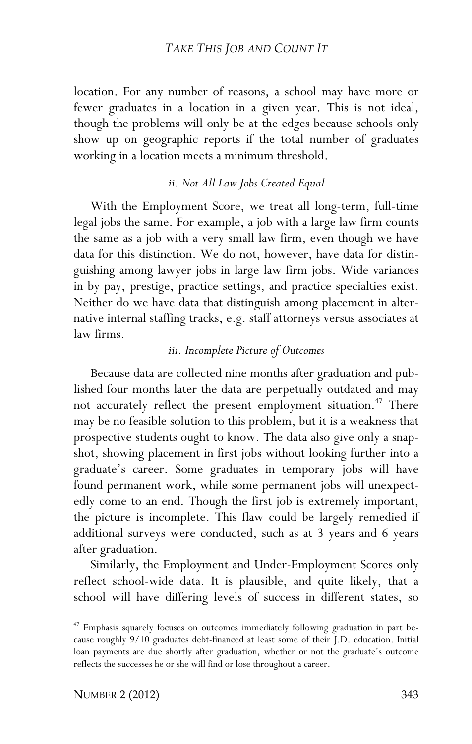location. For any number of reasons, a school may have more or fewer graduates in a location in a given year. This is not ideal, though the problems will only be at the edges because schools only show up on geographic reports if the total number of graduates working in a location meets a minimum threshold.

#### *ii. Not All Law Jobs Created Equal*

With the Employment Score, we treat all long-term, full-time legal jobs the same. For example, a job with a large law firm counts the same as a job with a very small law firm, even though we have data for this distinction. We do not, however, have data for distinguishing among lawyer jobs in large law firm jobs. Wide variances in by pay, prestige, practice settings, and practice specialties exist. Neither do we have data that distinguish among placement in alternative internal staffing tracks, e.g. staff attorneys versus associates at law firms.

#### *iii. Incomplete Picture of Outcomes*

Because data are collected nine months after graduation and published four months later the data are perpetually outdated and may not accurately reflect the present employment situation.<sup>47</sup> There may be no feasible solution to this problem, but it is a weakness that prospective students ought to know. The data also give only a snapshot, showing placement in first jobs without looking further into a graduate's career. Some graduates in temporary jobs will have found permanent work, while some permanent jobs will unexpectedly come to an end. Though the first job is extremely important, the picture is incomplete. This flaw could be largely remedied if additional surveys were conducted, such as at 3 years and 6 years after graduation.

Similarly, the Employment and Under-Employment Scores only reflect school-wide data. It is plausible, and quite likely, that a school will have differing levels of success in different states, so

<u>.</u>

<sup>47</sup> Emphasis squarely focuses on outcomes immediately following graduation in part because roughly 9/10 graduates debt-financed at least some of their J.D. education. Initial loan payments are due shortly after graduation, whether or not the graduate's outcome reflects the successes he or she will find or lose throughout a career.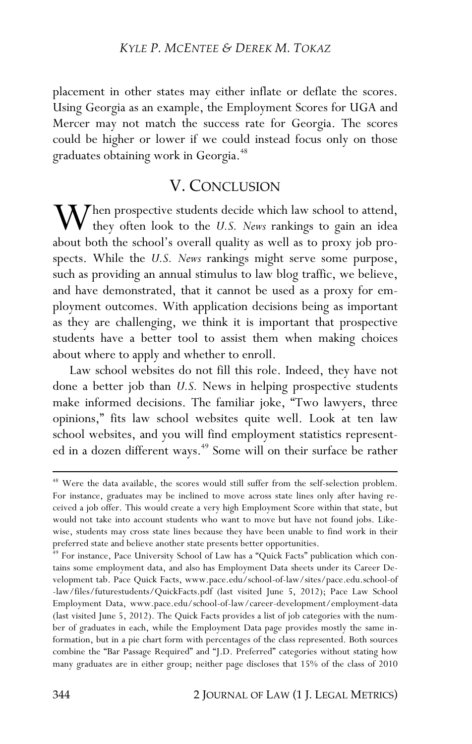placement in other states may either inflate or deflate the scores. Using Georgia as an example, the Employment Scores for UGA and Mercer may not match the success rate for Georgia. The scores could be higher or lower if we could instead focus only on those graduates obtaining work in Georgia.<sup>48</sup>

# V. CONCLUSION

hen prospective students decide which law school to attend, When prospective students decide which law school to attend,<br>they often look to the *U.S. News* rankings to gain an idea<br>about both the school's everall quality as well as to prove job pro about both the school's overall quality as well as to proxy job prospects. While the *U.S. News* rankings might serve some purpose, such as providing an annual stimulus to law blog traffic, we believe, and have demonstrated, that it cannot be used as a proxy for employment outcomes. With application decisions being as important as they are challenging, we think it is important that prospective students have a better tool to assist them when making choices about where to apply and whether to enroll.

Law school websites do not fill this role. Indeed, they have not done a better job than *U.S.* News in helping prospective students make informed decisions. The familiar joke, "Two lawyers, three opinions," fits law school websites quite well. Look at ten law school websites, and you will find employment statistics represented in a dozen different ways.<sup>49</sup> Some will on their surface be rather

<sup>48</sup> Were the data available, the scores would still suffer from the self-selection problem. For instance, graduates may be inclined to move across state lines only after having received a job offer. This would create a very high Employment Score within that state, but would not take into account students who want to move but have not found jobs. Likewise, students may cross state lines because they have been unable to find work in their preferred state and believe another state presents better opportunities.

<sup>&</sup>lt;sup>49</sup> For instance, Pace University School of Law has a "Quick Facts" publication which contains some employment data, and also has Employment Data sheets under its Career Development tab. Pace Quick Facts, www.pace.edu/school-of-law/sites/pace.edu.school-of -law/files/futurestudents/QuickFacts.pdf (last visited June 5, 2012); Pace Law School Employment Data, www.pace.edu/school-of-law/career-development/employment-data (last visited June 5, 2012). The Quick Facts provides a list of job categories with the number of graduates in each, while the Employment Data page provides mostly the same information, but in a pie chart form with percentages of the class represented. Both sources combine the "Bar Passage Required" and "J.D. Preferred" categories without stating how many graduates are in either group; neither page discloses that 15% of the class of 2010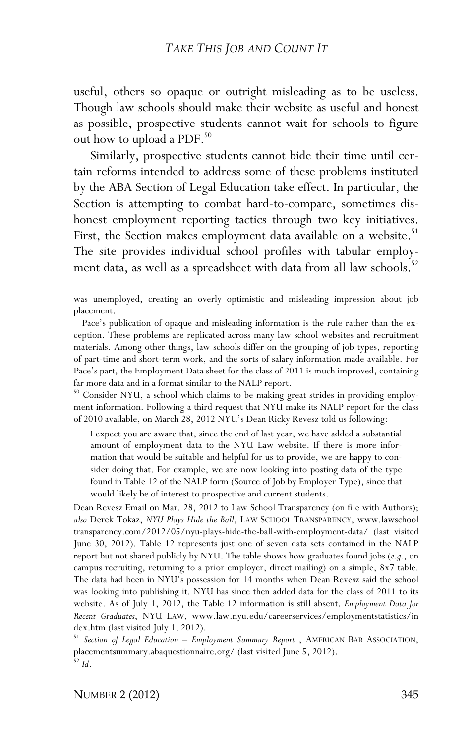useful, others so opaque or outright misleading as to be useless. Though law schools should make their website as useful and honest as possible, prospective students cannot wait for schools to figure out how to upload a PDF.<sup>50</sup>

Similarly, prospective students cannot bide their time until certain reforms intended to address some of these problems instituted by the ABA Section of Legal Education take effect. In particular, the Section is attempting to combat hard-to-compare, sometimes dishonest employment reporting tactics through two key initiatives. First, the Section makes employment data available on a website.<sup>51</sup> The site provides individual school profiles with tabular employment data, as well as a spreadsheet with data from all law schools.<sup>52</sup>

<sup>50</sup> Consider NYU, a school which claims to be making great strides in providing employment information. Following a third request that NYU make its NALP report for the class of 2010 available, on March 28, 2012 NYU's Dean Ricky Revesz told us following:

I expect you are aware that, since the end of last year, we have added a substantial amount of employment data to the NYU Law website. If there is more information that would be suitable and helpful for us to provide, we are happy to consider doing that. For example, we are now looking into posting data of the type found in Table 12 of the NALP form (Source of Job by Employer Type), since that would likely be of interest to prospective and current students.

Dean Revesz Email on Mar. 28, 2012 to Law School Transparency (on file with Authors); *also* Derek Tokaz, *NYU Plays Hide the Ball*, LAW SCHOOL TRANSPARENCY, www.lawschool transparency.com/2012/05/nyu-plays-hide-the-ball-with-employment-data/ (last visited June 30, 2012). Table 12 represents just one of seven data sets contained in the NALP report but not shared publicly by NYU. The table shows how graduates found jobs (*e.g.*, on campus recruiting, returning to a prior employer, direct mailing) on a simple, 8x7 table. The data had been in NYU's possession for 14 months when Dean Revesz said the school was looking into publishing it. NYU has since then added data for the class of 2011 to its website. As of July 1, 2012, the Table 12 information is still absent. *Employment Data for Recent Graduates*, NYU LAW, www.law.nyu.edu/careerservices/employmentstatistics/in dex.htm (last visited July 1, 2012).

<sup>51</sup> *Section of Legal Education – Employment Summary Report* , AMERICAN BAR ASSOCIATION, placementsummary.abaquestionnaire.org/ (last visited June 5, 2012). <sup>52</sup> *Id*.

<u>.</u>

was unemployed, creating an overly optimistic and misleading impression about job placement.

Pace's publication of opaque and misleading information is the rule rather than the exception. These problems are replicated across many law school websites and recruitment materials. Among other things, law schools differ on the grouping of job types, reporting of part-time and short-term work, and the sorts of salary information made available. For Pace's part, the Employment Data sheet for the class of 2011 is much improved, containing far more data and in a format similar to the NALP report.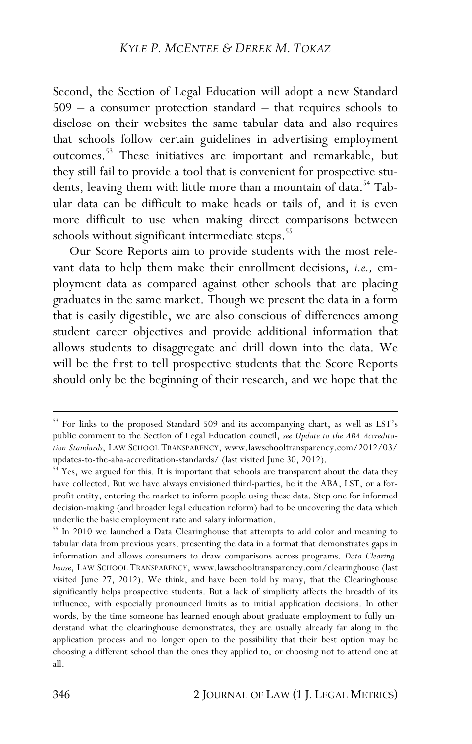Second, the Section of Legal Education will adopt a new Standard 509 – a consumer protection standard – that requires schools to disclose on their websites the same tabular data and also requires that schools follow certain guidelines in advertising employment outcomes.53 These initiatives are important and remarkable, but they still fail to provide a tool that is convenient for prospective students, leaving them with little more than a mountain of data.<sup>54</sup> Tabular data can be difficult to make heads or tails of, and it is even more difficult to use when making direct comparisons between schools without significant intermediate steps.<sup>55</sup>

Our Score Reports aim to provide students with the most relevant data to help them make their enrollment decisions, *i.e.,* employment data as compared against other schools that are placing graduates in the same market. Though we present the data in a form that is easily digestible, we are also conscious of differences among student career objectives and provide additional information that allows students to disaggregate and drill down into the data. We will be the first to tell prospective students that the Score Reports should only be the beginning of their research, and we hope that the

<sup>&</sup>lt;sup>53</sup> For links to the proposed Standard 509 and its accompanying chart, as well as LST's public comment to the Section of Legal Education council, *see Update to the ABA Accreditation Standards*, LAW SCHOOL TRANSPARENCY, www.lawschooltransparency.com/2012/03/ updates-to-the-aba-accreditation-standards/ (last visited June 30, 2012).

<sup>&</sup>lt;sup>54</sup> Yes, we argued for this. It is important that schools are transparent about the data they have collected. But we have always envisioned third-parties, be it the ABA, LST, or a forprofit entity, entering the market to inform people using these data. Step one for informed decision-making (and broader legal education reform) had to be uncovering the data which underlie the basic employment rate and salary information.

<sup>&</sup>lt;sup>55</sup> In 2010 we launched a Data Clearinghouse that attempts to add color and meaning to tabular data from previous years, presenting the data in a format that demonstrates gaps in information and allows consumers to draw comparisons across programs. *Data Clearinghouse*, LAW SCHOOL TRANSPARENCY, www.lawschooltransparency.com/clearinghouse (last visited June 27, 2012). We think, and have been told by many, that the Clearinghouse significantly helps prospective students. But a lack of simplicity affects the breadth of its influence, with especially pronounced limits as to initial application decisions. In other words, by the time someone has learned enough about graduate employment to fully understand what the clearinghouse demonstrates, they are usually already far along in the application process and no longer open to the possibility that their best option may be choosing a different school than the ones they applied to, or choosing not to attend one at all.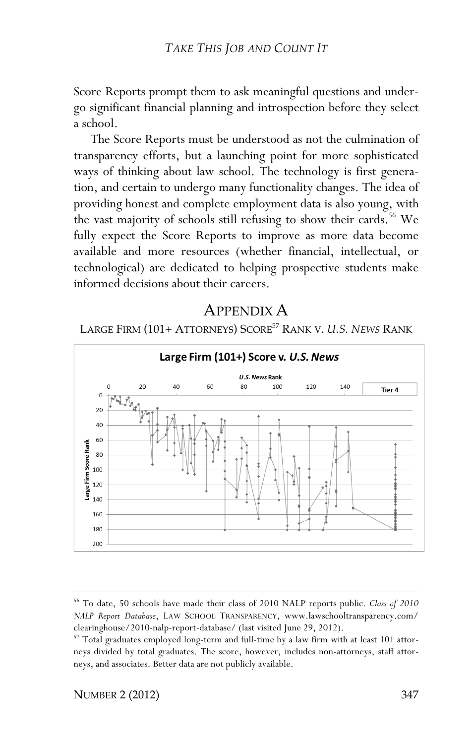Score Reports prompt them to ask meaningful questions and undergo significant financial planning and introspection before they select a school.

The Score Reports must be understood as not the culmination of transparency efforts, but a launching point for more sophisticated ways of thinking about law school. The technology is first generation, and certain to undergo many functionality changes. The idea of providing honest and complete employment data is also young, with the vast majority of schools still refusing to show their cards.<sup>56</sup> We fully expect the Score Reports to improve as more data become available and more resources (whether financial, intellectual, or technological) are dedicated to helping prospective students make informed decisions about their careers.

# APPENDIX A

LARGE FIRM (101+ ATTORNEYS) SCORE57 RANK V. *U.S. NEWS* RANK



<sup>&</sup>lt;u>.</u> <sup>56</sup> To date, 50 schools have made their class of 2010 NALP reports public. *Class of 2010 NALP Report Database*, LAW SCHOOL TRANSPARENCY, www.lawschooltransparency.com/ clearinghouse/2010-nalp-report-database/ (last visited June 29, 2012).

<sup>&</sup>lt;sup>57</sup> Total graduates employed long-term and full-time by a law firm with at least 101 attorneys divided by total graduates. The score, however, includes non-attorneys, staff attorneys, and associates. Better data are not publicly available.